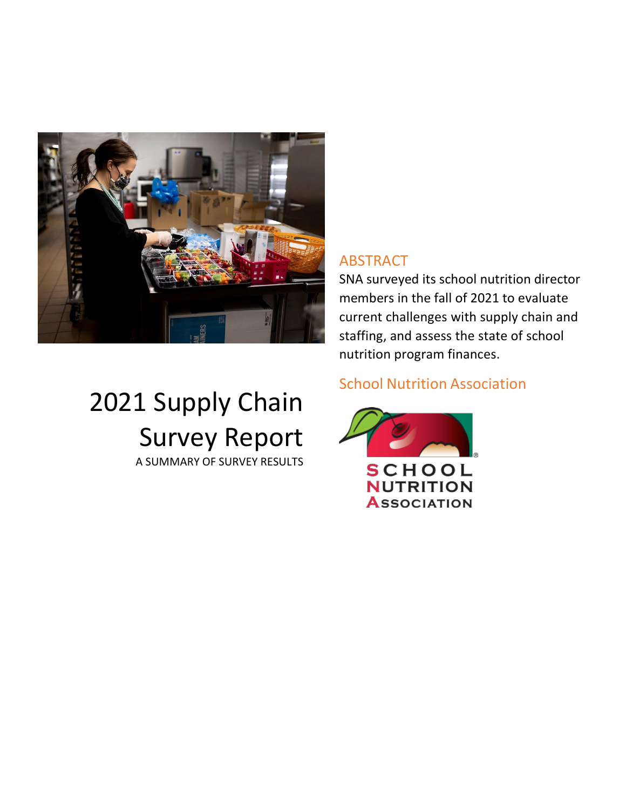

# ABSTRACT

SNA surveyed its school nutrition director members in the fall of 2021 to evaluate current challenges with supply chain and staffing, and assess the state of school nutrition program finances.

# 2021 Supply Chain Survey Report

A SUMMARY OF SURVEY RESULTS

# School Nutrition Association

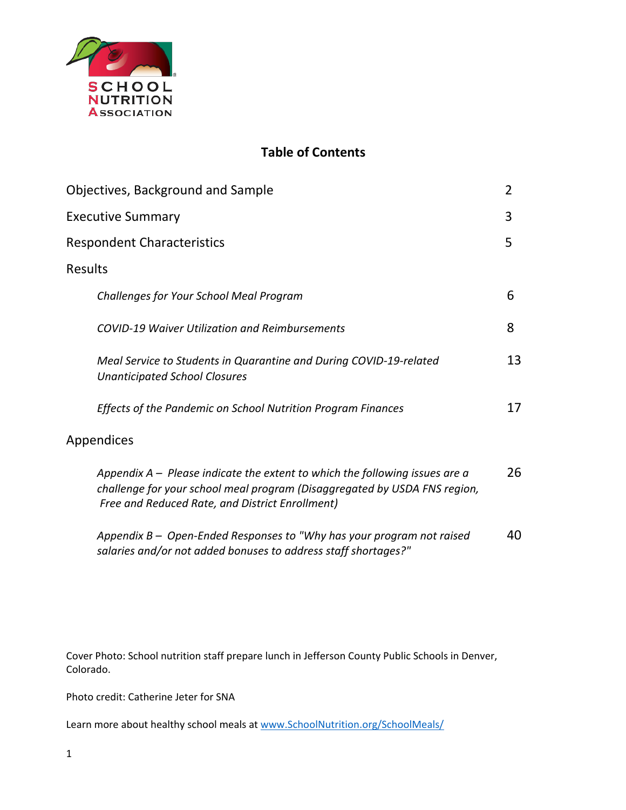

## **Table of Contents**

|                | Objectives, Background and Sample                                                                                                                                                                             | 2  |
|----------------|---------------------------------------------------------------------------------------------------------------------------------------------------------------------------------------------------------------|----|
|                | <b>Executive Summary</b>                                                                                                                                                                                      | 3  |
|                | <b>Respondent Characteristics</b>                                                                                                                                                                             | 5  |
| <b>Results</b> |                                                                                                                                                                                                               |    |
|                | Challenges for Your School Meal Program                                                                                                                                                                       | 6  |
|                | <b>COVID-19 Waiver Utilization and Reimbursements</b>                                                                                                                                                         | 8  |
|                | Meal Service to Students in Quarantine and During COVID-19-related<br><b>Unanticipated School Closures</b>                                                                                                    | 13 |
|                | Effects of the Pandemic on School Nutrition Program Finances                                                                                                                                                  | 17 |
|                | <b>Appendices</b>                                                                                                                                                                                             |    |
|                | Appendix $A -$ Please indicate the extent to which the following issues are a<br>challenge for your school meal program (Disaggregated by USDA FNS region,<br>Free and Reduced Rate, and District Enrollment) | 26 |
|                | Appendix B - Open-Ended Responses to "Why has your program not raised<br>salaries and/or not added bonuses to address staff shortages?"                                                                       | 40 |

Cover Photo: School nutrition staff prepare lunch in Jefferson County Public Schools in Denver, Colorado.

Photo credit: Catherine Jeter for SNA

Learn more about healthy school meals at [www.SchoolNutrition.org/SchoolMeals/](file:///C:/Users/dlessard/OneDrive%20-%20School%20Nutrition%20Association/Documents%201/Original%20SNA%20Research/2022%20Position%20Paper%20and%20Trends%20Survey/Report/www.SchoolNutrition.org/SchoolMeals/)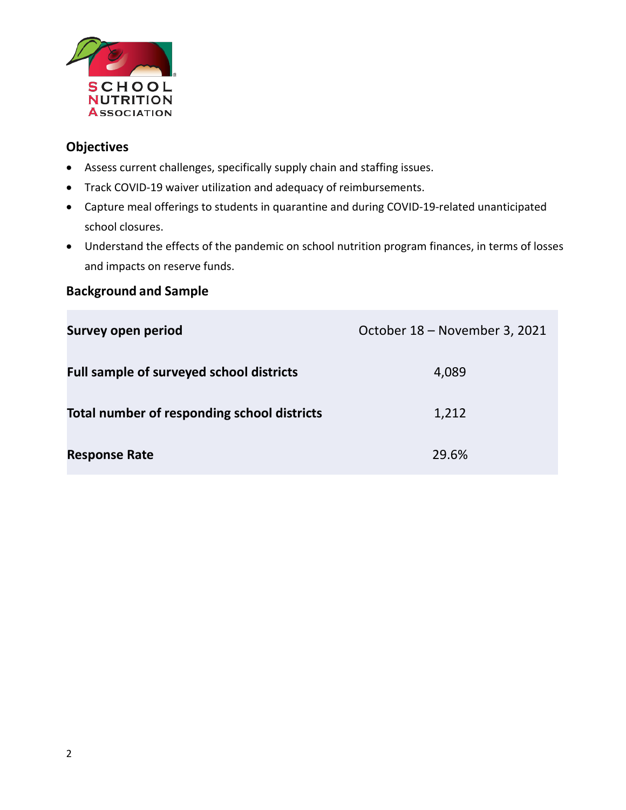

## **Objectives**

- Assess current challenges, specifically supply chain and staffing issues.
- Track COVID-19 waiver utilization and adequacy of reimbursements.
- Capture meal offerings to students in quarantine and during COVID-19-related unanticipated school closures.
- Understand the effects of the pandemic on school nutrition program finances, in terms of losses and impacts on reserve funds.

## **Background and Sample**

| <b>Survey open period</b>                       | October 18 - November 3, 2021 |
|-------------------------------------------------|-------------------------------|
| <b>Full sample of surveyed school districts</b> | 4,089                         |
| Total number of responding school districts     | 1,212                         |
| <b>Response Rate</b>                            | 29.6%                         |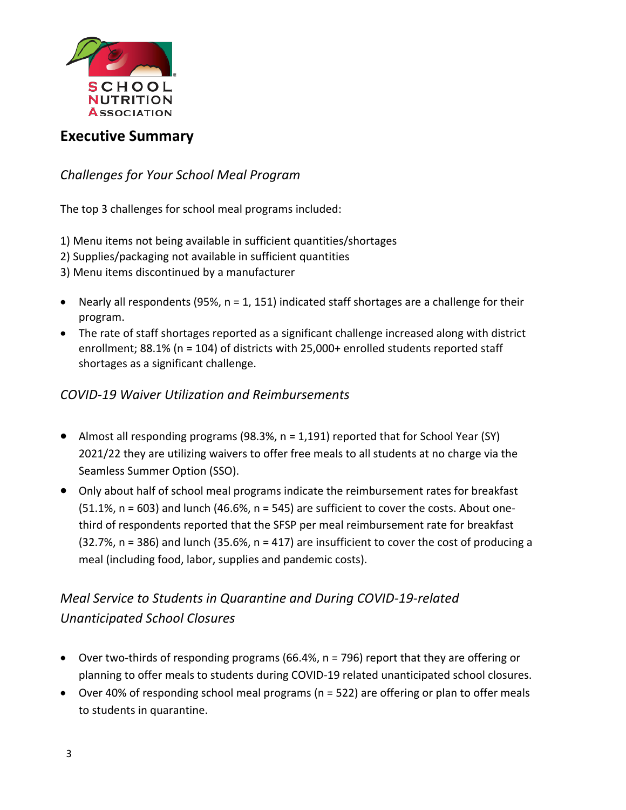

## **Executive Summary**

*Challenges for Your School Meal Program*

The top 3 challenges for school meal programs included:

- 1) Menu items not being available in sufficient quantities/shortages
- 2) Supplies/packaging not available in sufficient quantities

3) Menu items discontinued by a manufacturer

- Nearly all respondents (95%,  $n = 1$ , 151) indicated staff shortages are a challenge for their program.
- The rate of staff shortages reported as a significant challenge increased along with district enrollment; 88.1% (n = 104) of districts with 25,000+ enrolled students reported staff shortages as a significant challenge.

## *COVID-19 Waiver Utilization and Reimbursements*

- Almost all responding programs (98.3%,  $n = 1,191$ ) reported that for School Year (SY) 2021/22 they are utilizing waivers to offer free meals to all students at no charge via the Seamless Summer Option (SSO).
- Only about half of school meal programs indicate the reimbursement rates for breakfast  $(51.1\%$ , n = 603) and lunch  $(46.6\%$ , n = 545) are sufficient to cover the costs. About onethird of respondents reported that the SFSP per meal reimbursement rate for breakfast  $(32.7\%)$ , n = 386) and lunch  $(35.6\%)$ , n = 417) are insufficient to cover the cost of producing a meal (including food, labor, supplies and pandemic costs).

# *Meal Service to Students in Quarantine and During COVID-19-related Unanticipated School Closures*

- Over two-thirds of responding programs (66.4%, n = 796) report that they are offering or planning to offer meals to students during COVID-19 related unanticipated school closures.
- Over 40% of responding school meal programs (n = 522) are offering or plan to offer meals to students in quarantine.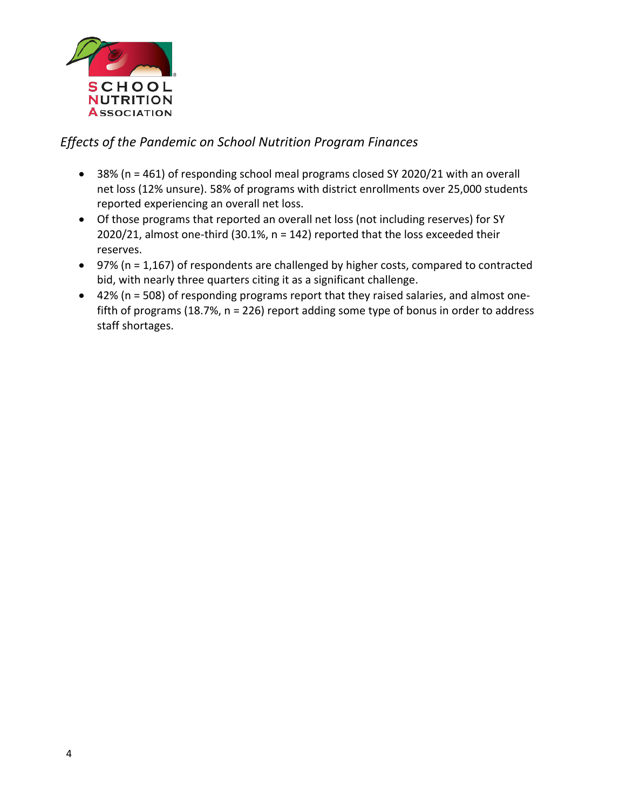

## *Effects of the Pandemic on School Nutrition Program Finances*

- 38% (n = 461) of responding school meal programs closed SY 2020/21 with an overall net loss (12% unsure). 58% of programs with district enrollments over 25,000 students reported experiencing an overall net loss.
- Of those programs that reported an overall net loss (not including reserves) for SY 2020/21, almost one-third (30.1%, n = 142) reported that the loss exceeded their reserves.
- 97% (n = 1,167) of respondents are challenged by higher costs, compared to contracted bid, with nearly three quarters citing it as a significant challenge.
- 42% (n = 508) of responding programs report that they raised salaries, and almost onefifth of programs (18.7%, n = 226) report adding some type of bonus in order to address staff shortages.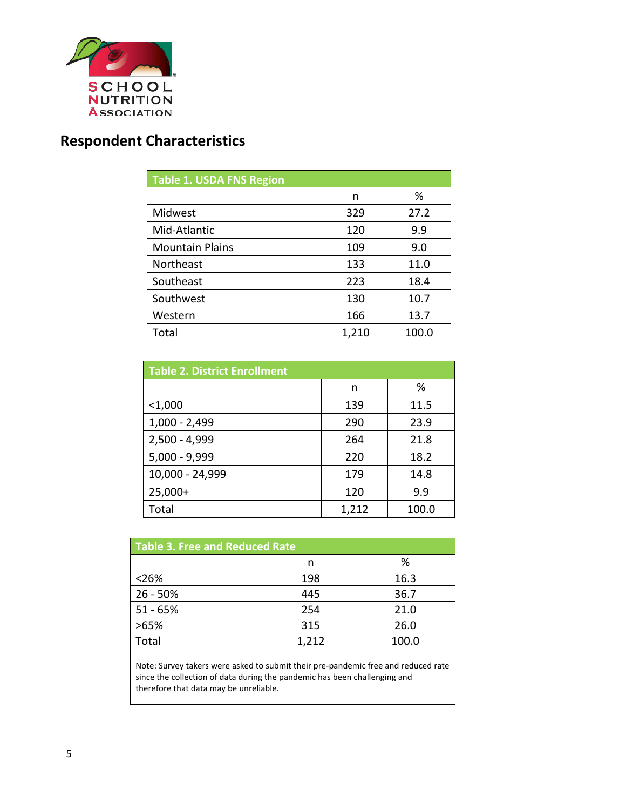

# **Respondent Characteristics**

| <b>Table 1. USDA FNS Region</b> |       |       |  |  |  |
|---------------------------------|-------|-------|--|--|--|
|                                 | n     | %     |  |  |  |
| Midwest                         | 329   | 27.2  |  |  |  |
| Mid-Atlantic                    | 120   | 9.9   |  |  |  |
| <b>Mountain Plains</b>          | 109   | 9.0   |  |  |  |
| Northeast                       | 133   | 11.0  |  |  |  |
| Southeast                       | 223   | 18.4  |  |  |  |
| Southwest                       | 130   | 10.7  |  |  |  |
| Western                         | 166   | 13.7  |  |  |  |
| Total                           | 1,210 | 100.0 |  |  |  |

| <b>Table 2. District Enrollment</b> |       |       |  |  |  |
|-------------------------------------|-------|-------|--|--|--|
|                                     | n     | %     |  |  |  |
| $<$ 1,000                           | 139   | 11.5  |  |  |  |
| $1,000 - 2,499$                     | 290   | 23.9  |  |  |  |
| $2,500 - 4,999$                     | 264   | 21.8  |  |  |  |
| 5,000 - 9,999                       | 220   | 18.2  |  |  |  |
| 10,000 - 24,999                     | 179   | 14.8  |  |  |  |
| $25,000+$                           | 120   | 9.9   |  |  |  |
| Total                               | 1,212 | 100.0 |  |  |  |

| Table 3. Free and Reduced Rate |       |       |  |  |  |
|--------------------------------|-------|-------|--|--|--|
|                                | n     | %     |  |  |  |
| < 26%                          | 198   | 16.3  |  |  |  |
| 26 - 50%                       | 445   | 36.7  |  |  |  |
| $51 - 65%$                     | 254   | 21.0  |  |  |  |
| >65%                           | 315   | 26.0  |  |  |  |
| Total                          | 1,212 | 100.0 |  |  |  |

Note: Survey takers were asked to submit their pre-pandemic free and reduced rate since the collection of data during the pandemic has been challenging and therefore that data may be unreliable.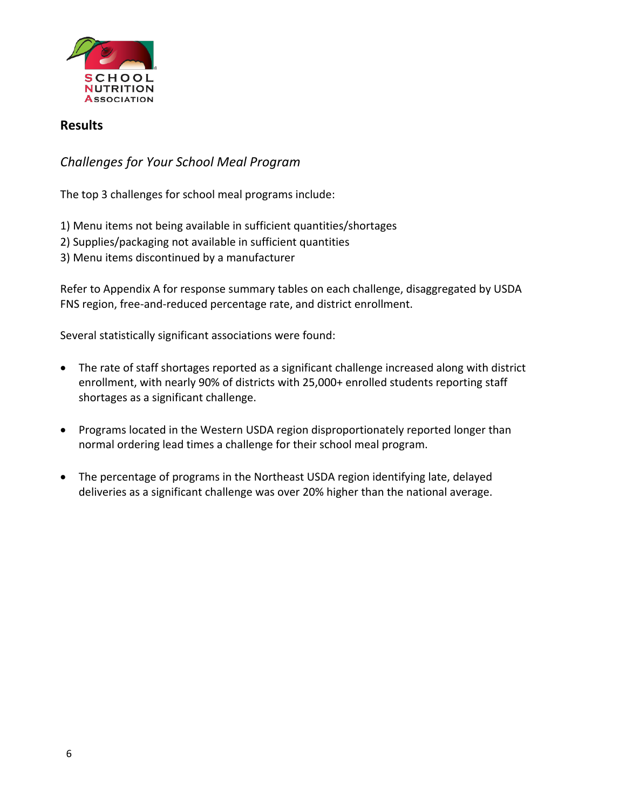

#### **Results**

## *Challenges for Your School Meal Program*

The top 3 challenges for school meal programs include:

1) Menu items not being available in sufficient quantities/shortages

- 2) Supplies/packaging not available in sufficient quantities
- 3) Menu items discontinued by a manufacturer

Refer to Appendix A for response summary tables on each challenge, disaggregated by USDA FNS region, free-and-reduced percentage rate, and district enrollment.

Several statistically significant associations were found:

- The rate of staff shortages reported as a significant challenge increased along with district enrollment, with nearly 90% of districts with 25,000+ enrolled students reporting staff shortages as a significant challenge.
- Programs located in the Western USDA region disproportionately reported longer than normal ordering lead times a challenge for their school meal program.
- The percentage of programs in the Northeast USDA region identifying late, delayed deliveries as a significant challenge was over 20% higher than the national average.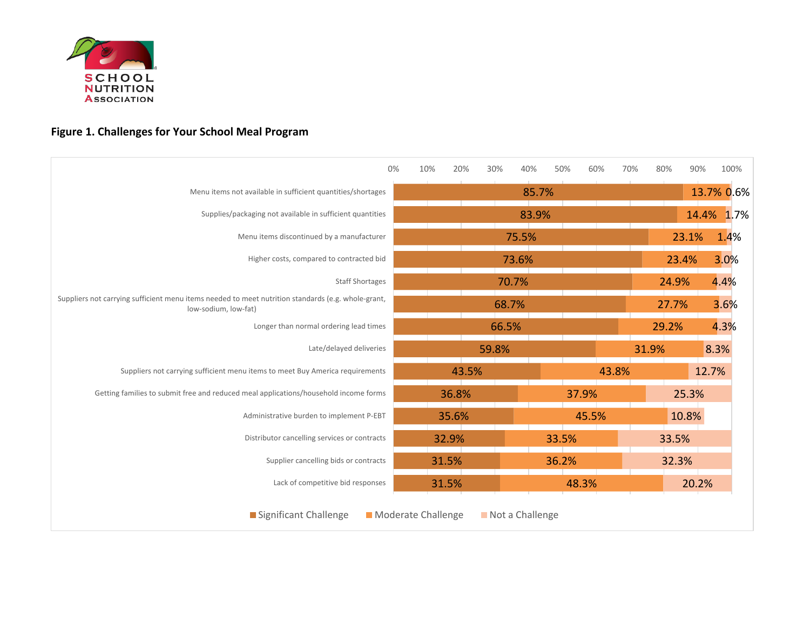

# **Figure 1. Challenges for Your School Meal Program**

|                                                                                                                            | 0%<br>10%          | 20%   | 30%             | 40%   | 50%   | 60%   | 70%   | 80%   | 90%   | 100%       |
|----------------------------------------------------------------------------------------------------------------------------|--------------------|-------|-----------------|-------|-------|-------|-------|-------|-------|------------|
| Menu items not available in sufficient quantities/shortages                                                                |                    |       |                 | 85.7% |       |       |       |       |       | 13.7% 0.6% |
| Supplies/packaging not available in sufficient quantities                                                                  |                    |       |                 | 83.9% |       |       |       |       |       | 14.4% 1.7% |
| Menu items discontinued by a manufacturer                                                                                  |                    |       |                 | 75.5% |       |       |       |       | 23.1% | 1.4%       |
| Higher costs, compared to contracted bid                                                                                   |                    |       |                 | 73.6% |       |       |       | 23.4% |       | 3.0%       |
| <b>Staff Shortages</b>                                                                                                     |                    |       | 70.7%           |       |       |       |       | 24.9% |       | 4.4%       |
| Suppliers not carrying sufficient menu items needed to meet nutrition standards (e.g. whole-grant,<br>low-sodium, low-fat) |                    |       | 68.7%           |       |       |       |       | 27.7% |       | 3.6%       |
| Longer than normal ordering lead times                                                                                     |                    |       | 66.5%           |       |       |       |       | 29.2% |       | 4.3%       |
| Late/delayed deliveries                                                                                                    |                    |       | 59.8%           |       |       |       |       | 31.9% |       | 8.3%       |
| Suppliers not carrying sufficient menu items to meet Buy America requirements                                              |                    | 43.5% |                 |       |       |       | 43.8% |       |       | 12.7%      |
| Getting families to submit free and reduced meal applications/household income forms                                       |                    | 36.8% |                 |       |       | 37.9% |       |       | 25.3% |            |
| Administrative burden to implement P-EBT                                                                                   |                    | 35.6% |                 |       |       | 45.5% |       |       | 10.8% |            |
| Distributor cancelling services or contracts                                                                               |                    | 32.9% |                 |       | 33.5% |       |       | 33.5% |       |            |
| Supplier cancelling bids or contracts                                                                                      |                    | 31.5% |                 |       | 36.2% |       |       | 32.3% |       |            |
| Lack of competitive bid responses                                                                                          |                    | 31.5% |                 |       |       | 48.3% |       |       | 20.2% |            |
| Significant Challenge                                                                                                      | Moderate Challenge |       | Not a Challenge |       |       |       |       |       |       |            |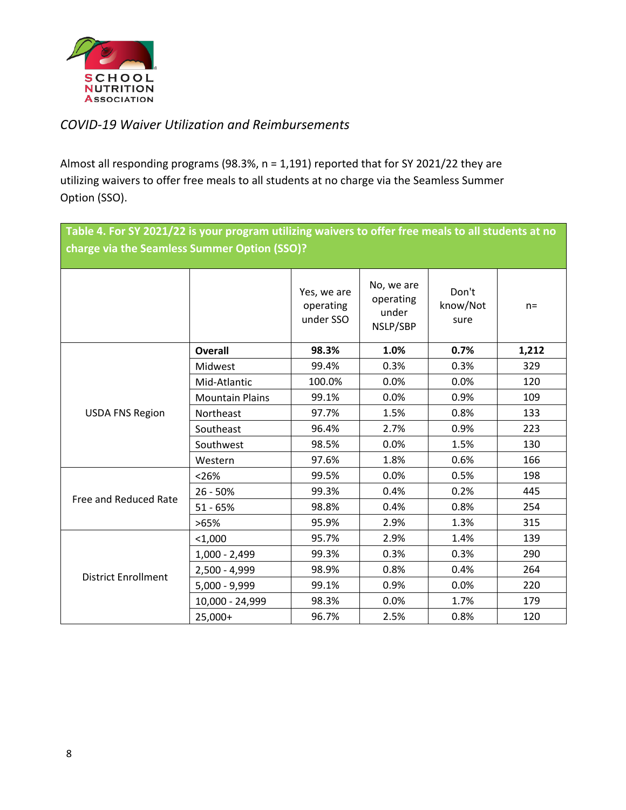

## *COVID-19 Waiver Utilization and Reimbursements*

Almost all responding programs (98.3%, n = 1,191) reported that for SY 2021/22 they are utilizing waivers to offer free meals to all students at no charge via the Seamless Summer Option (SSO).

|                                              | Table 4. For SY 2021/22 is your program utilizing waivers to offer free meals to all students at no |                                       |                                              |                           |       |  |  |  |
|----------------------------------------------|-----------------------------------------------------------------------------------------------------|---------------------------------------|----------------------------------------------|---------------------------|-------|--|--|--|
| charge via the Seamless Summer Option (SSO)? |                                                                                                     |                                       |                                              |                           |       |  |  |  |
|                                              |                                                                                                     |                                       |                                              |                           |       |  |  |  |
|                                              |                                                                                                     | Yes, we are<br>operating<br>under SSO | No, we are<br>operating<br>under<br>NSLP/SBP | Don't<br>know/Not<br>sure | $n =$ |  |  |  |
|                                              | <b>Overall</b>                                                                                      | 98.3%                                 | 1.0%                                         | 0.7%                      | 1,212 |  |  |  |
|                                              | Midwest                                                                                             | 99.4%                                 | 0.3%                                         | 0.3%                      | 329   |  |  |  |
| <b>USDA FNS Region</b>                       | Mid-Atlantic                                                                                        | 100.0%                                | 0.0%                                         | 0.0%                      | 120   |  |  |  |
|                                              | <b>Mountain Plains</b>                                                                              | 99.1%                                 | 0.0%                                         | 0.9%                      | 109   |  |  |  |
|                                              | Northeast                                                                                           | 97.7%                                 | 1.5%                                         | 0.8%                      | 133   |  |  |  |
|                                              | Southeast                                                                                           | 96.4%                                 | 2.7%                                         | 0.9%                      | 223   |  |  |  |
|                                              | Southwest                                                                                           | 98.5%                                 | 0.0%                                         | 1.5%                      | 130   |  |  |  |
|                                              | Western                                                                                             | 97.6%                                 | 1.8%                                         | 0.6%                      | 166   |  |  |  |
|                                              | < 26%                                                                                               | 99.5%                                 | 0.0%                                         | 0.5%                      | 198   |  |  |  |
| Free and Reduced Rate                        | $26 - 50%$                                                                                          | 99.3%                                 | 0.4%                                         | 0.2%                      | 445   |  |  |  |
|                                              | $51 - 65%$                                                                                          | 98.8%                                 | 0.4%                                         | 0.8%                      | 254   |  |  |  |
|                                              | >65%                                                                                                | 95.9%                                 | 2.9%                                         | 1.3%                      | 315   |  |  |  |
|                                              | $1,000$                                                                                             | 95.7%                                 | 2.9%                                         | 1.4%                      | 139   |  |  |  |
|                                              | $1,000 - 2,499$                                                                                     | 99.3%                                 | 0.3%                                         | 0.3%                      | 290   |  |  |  |
| <b>District Enrollment</b>                   | 2,500 - 4,999                                                                                       | 98.9%                                 | 0.8%                                         | 0.4%                      | 264   |  |  |  |
|                                              | 5,000 - 9,999                                                                                       | 99.1%                                 | 0.9%                                         | 0.0%                      | 220   |  |  |  |
|                                              | 10,000 - 24,999                                                                                     | 98.3%                                 | 0.0%                                         | 1.7%                      | 179   |  |  |  |
|                                              | 25,000+                                                                                             | 96.7%                                 | 2.5%                                         | 0.8%                      | 120   |  |  |  |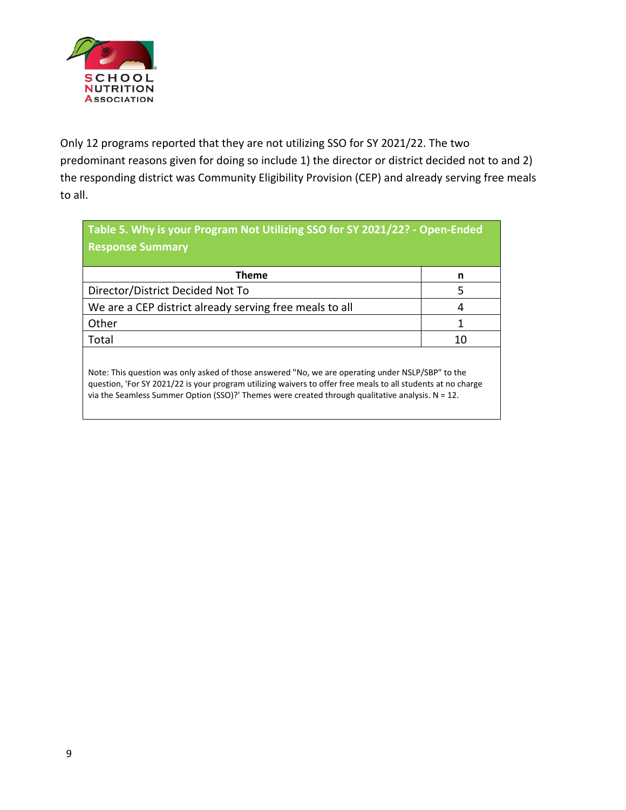

Only 12 programs reported that they are not utilizing SSO for SY 2021/22. The two predominant reasons given for doing so include 1) the director or district decided not to and 2) the responding district was Community Eligibility Provision (CEP) and already serving free meals to all.

| Table 5. Why is your Program Not Utilizing SSO for SY 2021/22? - Open-Ended                                                                                                                                                                                                                                             |    |  |  |  |
|-------------------------------------------------------------------------------------------------------------------------------------------------------------------------------------------------------------------------------------------------------------------------------------------------------------------------|----|--|--|--|
| <b>Response Summary</b>                                                                                                                                                                                                                                                                                                 |    |  |  |  |
| <b>Theme</b>                                                                                                                                                                                                                                                                                                            | n  |  |  |  |
| Director/District Decided Not To                                                                                                                                                                                                                                                                                        | 5  |  |  |  |
| We are a CEP district already serving free meals to all                                                                                                                                                                                                                                                                 | 4  |  |  |  |
| Other                                                                                                                                                                                                                                                                                                                   | 1  |  |  |  |
| Total                                                                                                                                                                                                                                                                                                                   | 10 |  |  |  |
| Note: This question was only asked of those answered "No, we are operating under NSLP/SBP" to the<br>question, 'For SY 2021/22 is your program utilizing waivers to offer free meals to all students at no charge<br>via the Seamless Summer Option (SSO)? Themes were created through qualitative analysis. $N = 12$ . |    |  |  |  |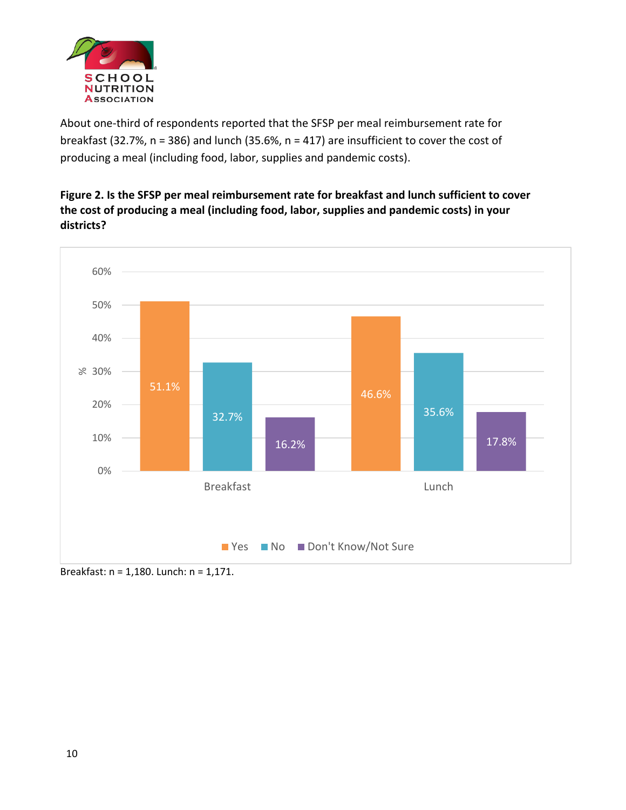

About one-third of respondents reported that the SFSP per meal reimbursement rate for breakfast (32.7%, n = 386) and lunch (35.6%, n = 417) are insufficient to cover the cost of producing a meal (including food, labor, supplies and pandemic costs).

## **Figure 2. Is the SFSP per meal reimbursement rate for breakfast and lunch sufficient to cover the cost of producing a meal (including food, labor, supplies and pandemic costs) in your districts?**



Breakfast: n = 1,180. Lunch: n = 1,171.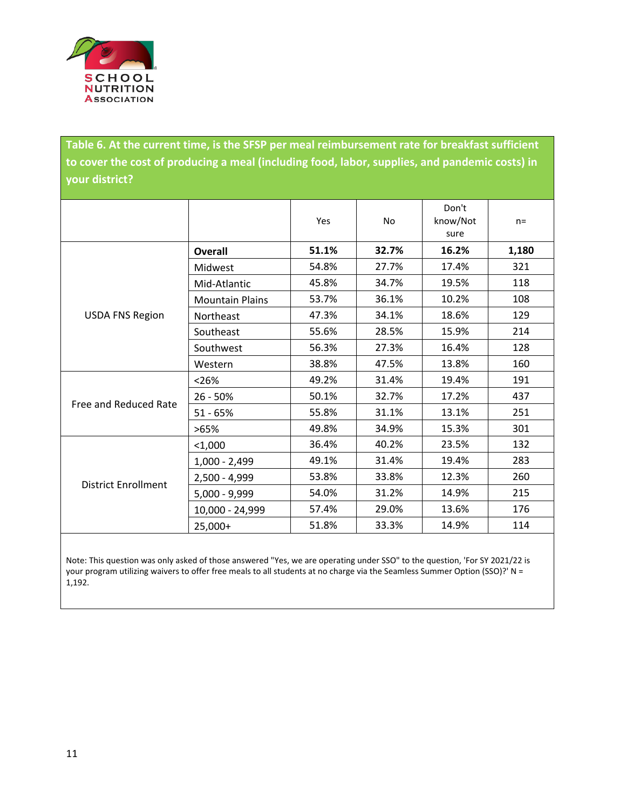

**Table 6. At the current time, is the SFSP per meal reimbursement rate for breakfast sufficient to cover the cost of producing a meal (including food, labor, supplies, and pandemic costs) in your district?**

|                            |                        | Yes   | <b>No</b> | Don't<br>know/Not<br>sure | $n =$ |
|----------------------------|------------------------|-------|-----------|---------------------------|-------|
|                            | Overall                | 51.1% | 32.7%     | 16.2%                     | 1,180 |
|                            | <b>Midwest</b>         | 54.8% | 27.7%     | 17.4%                     | 321   |
|                            | Mid-Atlantic           | 45.8% | 34.7%     | 19.5%                     | 118   |
|                            | <b>Mountain Plains</b> | 53.7% | 36.1%     | 10.2%                     | 108   |
| <b>USDA FNS Region</b>     | Northeast              | 47.3% | 34.1%     | 18.6%                     | 129   |
|                            | Southeast              | 55.6% | 28.5%     | 15.9%                     | 214   |
|                            | Southwest              | 56.3% | 27.3%     | 16.4%                     | 128   |
|                            | Western                | 38.8% | 47.5%     | 13.8%                     | 160   |
|                            | < 26%                  | 49.2% | 31.4%     | 19.4%                     | 191   |
|                            | 26 - 50%               | 50.1% | 32.7%     | 17.2%                     | 437   |
| Free and Reduced Rate      | $51 - 65%$             | 55.8% | 31.1%     | 13.1%                     | 251   |
|                            | >65%                   | 49.8% | 34.9%     | 15.3%                     | 301   |
|                            | $<$ 1,000              | 36.4% | 40.2%     | 23.5%                     | 132   |
|                            | $1,000 - 2,499$        | 49.1% | 31.4%     | 19.4%                     | 283   |
|                            | 2,500 - 4,999          | 53.8% | 33.8%     | 12.3%                     | 260   |
| <b>District Enrollment</b> | $5,000 - 9,999$        | 54.0% | 31.2%     | 14.9%                     | 215   |
|                            | 10,000 - 24,999        | 57.4% | 29.0%     | 13.6%                     | 176   |
|                            | 25,000+                | 51.8% | 33.3%     | 14.9%                     | 114   |

Note: This question was only asked of those answered "Yes, we are operating under SSO" to the question, 'For SY 2021/22 is your program utilizing waivers to offer free meals to all students at no charge via the Seamless Summer Option (SSO)?' N = 1,192.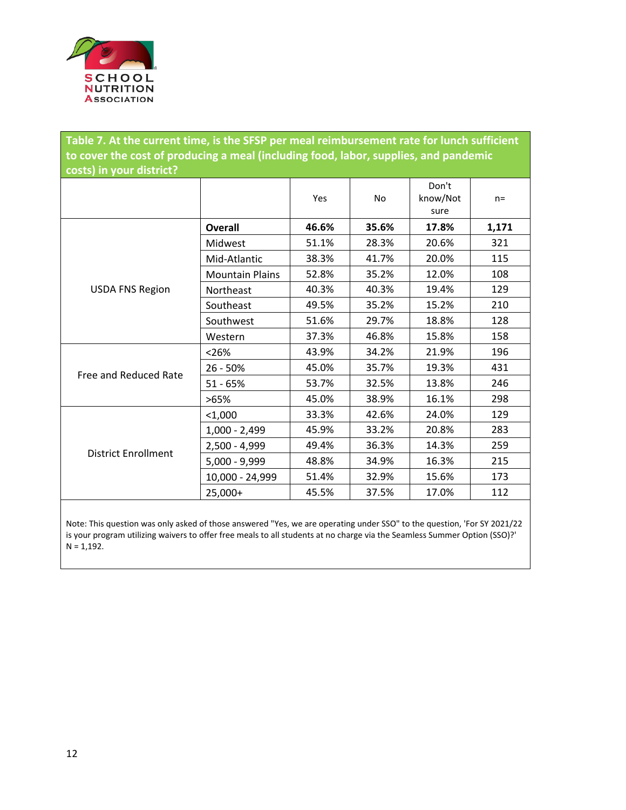

**Table 7. At the current time, is the SFSP per meal reimbursement rate for lunch sufficient to cover the cost of producing a meal (including food, labor, supplies, and pandemic costs) in your district?**

|                            |                        | Yes   | <b>No</b> | Don't<br>know/Not<br>sure | $n =$ |
|----------------------------|------------------------|-------|-----------|---------------------------|-------|
|                            | Overall                | 46.6% | 35.6%     | 17.8%                     | 1,171 |
|                            | Midwest                | 51.1% | 28.3%     | 20.6%                     | 321   |
|                            | Mid-Atlantic           | 38.3% | 41.7%     | 20.0%                     | 115   |
|                            | <b>Mountain Plains</b> | 52.8% | 35.2%     | 12.0%                     | 108   |
| <b>USDA FNS Region</b>     | Northeast              | 40.3% | 40.3%     | 19.4%                     | 129   |
|                            | Southeast              | 49.5% | 35.2%     | 15.2%                     | 210   |
|                            | Southwest              | 51.6% | 29.7%     | 18.8%                     | 128   |
|                            | Western                | 37.3% | 46.8%     | 15.8%                     | 158   |
|                            | < 26%                  | 43.9% | 34.2%     | 21.9%                     | 196   |
| Free and Reduced Rate      | $26 - 50%$             | 45.0% | 35.7%     | 19.3%                     | 431   |
|                            | $51 - 65%$             | 53.7% | 32.5%     | 13.8%                     | 246   |
|                            | >65%                   | 45.0% | 38.9%     | 16.1%                     | 298   |
|                            | $<$ 1,000              | 33.3% | 42.6%     | 24.0%                     | 129   |
|                            | 1,000 - 2,499          | 45.9% | 33.2%     | 20.8%                     | 283   |
| <b>District Enrollment</b> | 2,500 - 4,999          | 49.4% | 36.3%     | 14.3%                     | 259   |
|                            | $5,000 - 9,999$        | 48.8% | 34.9%     | 16.3%                     | 215   |
|                            | 10,000 - 24,999        | 51.4% | 32.9%     | 15.6%                     | 173   |
|                            | 25,000+                | 45.5% | 37.5%     | 17.0%                     | 112   |

Note: This question was only asked of those answered "Yes, we are operating under SSO" to the question, 'For SY 2021/22 is your program utilizing waivers to offer free meals to all students at no charge via the Seamless Summer Option (SSO)?'  $N = 1,192.$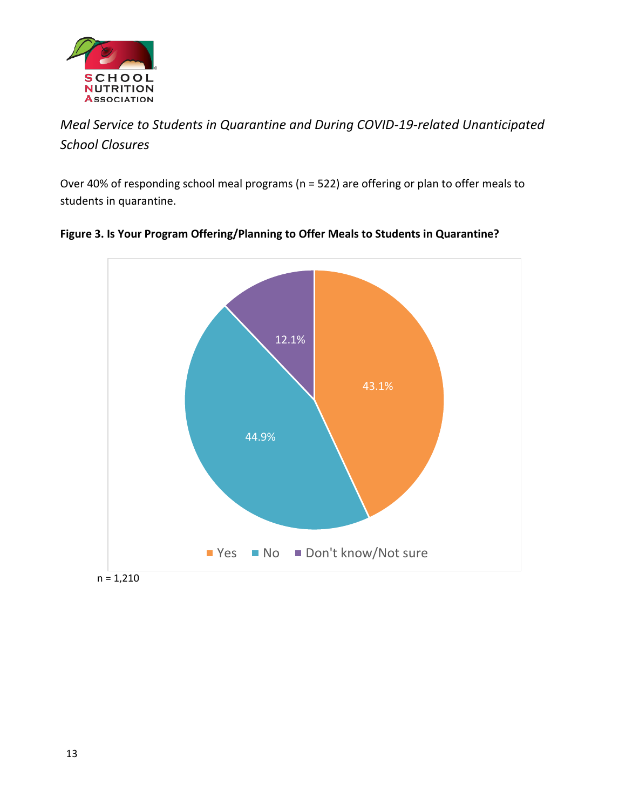

# *Meal Service to Students in Quarantine and During COVID-19-related Unanticipated School Closures*

Over 40% of responding school meal programs (n = 522) are offering or plan to offer meals to students in quarantine.



## **Figure 3. Is Your Program Offering/Planning to Offer Meals to Students in Quarantine?**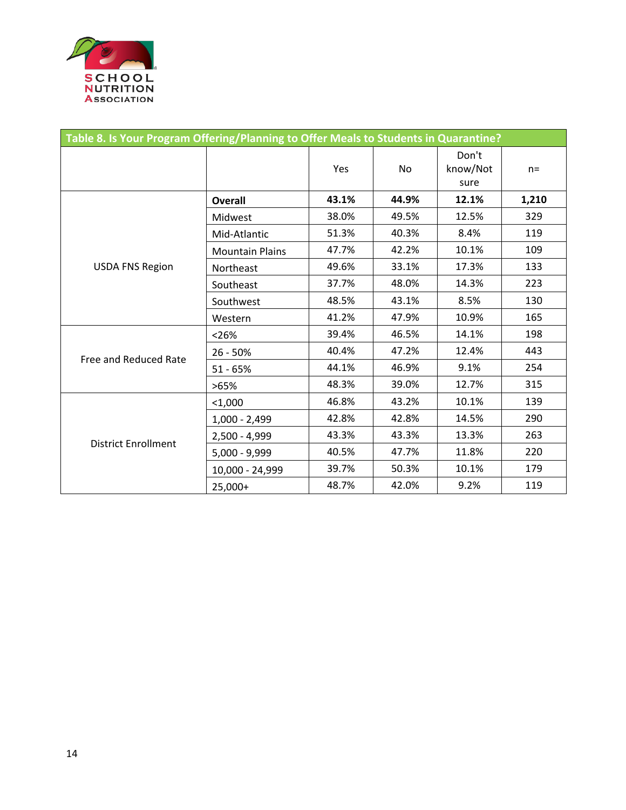

|                            | Table 8. Is Your Program Offering/Planning to Offer Meals to Students in Quarantine? |       |           |                           |       |  |  |  |
|----------------------------|--------------------------------------------------------------------------------------|-------|-----------|---------------------------|-------|--|--|--|
|                            |                                                                                      | Yes   | <b>No</b> | Don't<br>know/Not<br>sure | $n =$ |  |  |  |
|                            | <b>Overall</b>                                                                       | 43.1% | 44.9%     | 12.1%                     | 1,210 |  |  |  |
|                            | Midwest                                                                              | 38.0% | 49.5%     | 12.5%                     | 329   |  |  |  |
|                            | Mid-Atlantic                                                                         | 51.3% | 40.3%     | 8.4%                      | 119   |  |  |  |
|                            | <b>Mountain Plains</b>                                                               | 47.7% | 42.2%     | 10.1%                     | 109   |  |  |  |
| <b>USDA FNS Region</b>     | Northeast                                                                            | 49.6% | 33.1%     | 17.3%                     | 133   |  |  |  |
|                            | Southeast                                                                            | 37.7% | 48.0%     | 14.3%                     | 223   |  |  |  |
|                            | Southwest                                                                            | 48.5% | 43.1%     | 8.5%                      | 130   |  |  |  |
|                            | Western                                                                              | 41.2% | 47.9%     | 10.9%                     | 165   |  |  |  |
|                            | < 26%                                                                                | 39.4% | 46.5%     | 14.1%                     | 198   |  |  |  |
| Free and Reduced Rate      | 26 - 50%                                                                             | 40.4% | 47.2%     | 12.4%                     | 443   |  |  |  |
|                            | $51 - 65%$                                                                           | 44.1% | 46.9%     | 9.1%                      | 254   |  |  |  |
|                            | >65%                                                                                 | 48.3% | 39.0%     | 12.7%                     | 315   |  |  |  |
|                            | $1,000$                                                                              | 46.8% | 43.2%     | 10.1%                     | 139   |  |  |  |
|                            | $1,000 - 2,499$                                                                      | 42.8% | 42.8%     | 14.5%                     | 290   |  |  |  |
| <b>District Enrollment</b> | 2,500 - 4,999                                                                        | 43.3% | 43.3%     | 13.3%                     | 263   |  |  |  |
|                            | $5,000 - 9,999$                                                                      | 40.5% | 47.7%     | 11.8%                     | 220   |  |  |  |
|                            | 10,000 - 24,999                                                                      | 39.7% | 50.3%     | 10.1%                     | 179   |  |  |  |
|                            | 25,000+                                                                              | 48.7% | 42.0%     | 9.2%                      | 119   |  |  |  |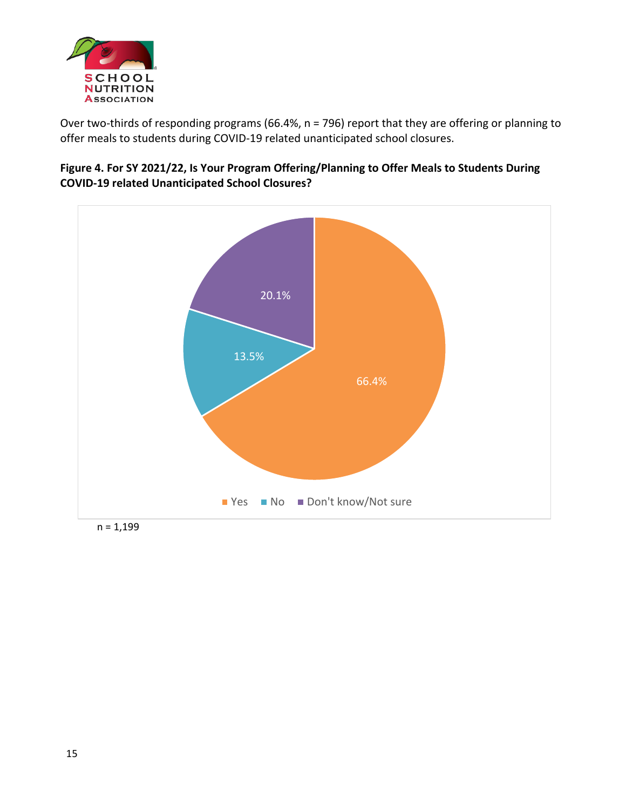

Over two-thirds of responding programs (66.4%, n = 796) report that they are offering or planning to offer meals to students during COVID-19 related unanticipated school closures.

#### **Figure 4. For SY 2021/22, Is Your Program Offering/Planning to Offer Meals to Students During COVID-19 related Unanticipated School Closures?**



 $n = 1,199$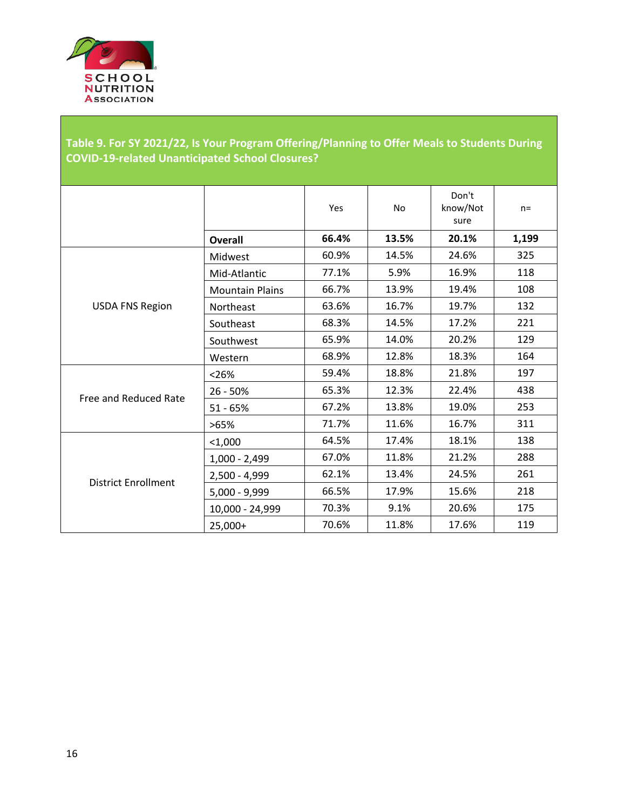

## **Table 9. For SY 2021/22, Is Your Program Offering/Planning to Offer Meals to Students During COVID-19-related Unanticipated School Closures?**

|                            |                        | Yes   | <b>No</b> | Don't<br>know/Not<br>sure | $n=$  |
|----------------------------|------------------------|-------|-----------|---------------------------|-------|
|                            | Overall                | 66.4% | 13.5%     | 20.1%                     | 1,199 |
|                            | Midwest                | 60.9% | 14.5%     | 24.6%                     | 325   |
|                            | Mid-Atlantic           | 77.1% | 5.9%      | 16.9%                     | 118   |
|                            | <b>Mountain Plains</b> | 66.7% | 13.9%     | 19.4%                     | 108   |
| <b>USDA FNS Region</b>     | Northeast              | 63.6% | 16.7%     | 19.7%                     | 132   |
|                            | Southeast              | 68.3% | 14.5%     | 17.2%                     | 221   |
|                            | Southwest              | 65.9% | 14.0%     | 20.2%                     | 129   |
|                            | Western                | 68.9% | 12.8%     | 18.3%                     | 164   |
|                            | < 26%                  | 59.4% | 18.8%     | 21.8%                     | 197   |
|                            | 26 - 50%               | 65.3% | 12.3%     | 22.4%                     | 438   |
| Free and Reduced Rate      | $51 - 65%$             | 67.2% | 13.8%     | 19.0%                     | 253   |
|                            | >65%                   | 71.7% | 11.6%     | 16.7%                     | 311   |
|                            | $<$ 1,000              | 64.5% | 17.4%     | 18.1%                     | 138   |
|                            | $1,000 - 2,499$        | 67.0% | 11.8%     | 21.2%                     | 288   |
|                            | 2,500 - 4,999          | 62.1% | 13.4%     | 24.5%                     | 261   |
| <b>District Enrollment</b> | $5,000 - 9,999$        | 66.5% | 17.9%     | 15.6%                     | 218   |
|                            | 10,000 - 24,999        | 70.3% | 9.1%      | 20.6%                     | 175   |
|                            | 25,000+                | 70.6% | 11.8%     | 17.6%                     | 119   |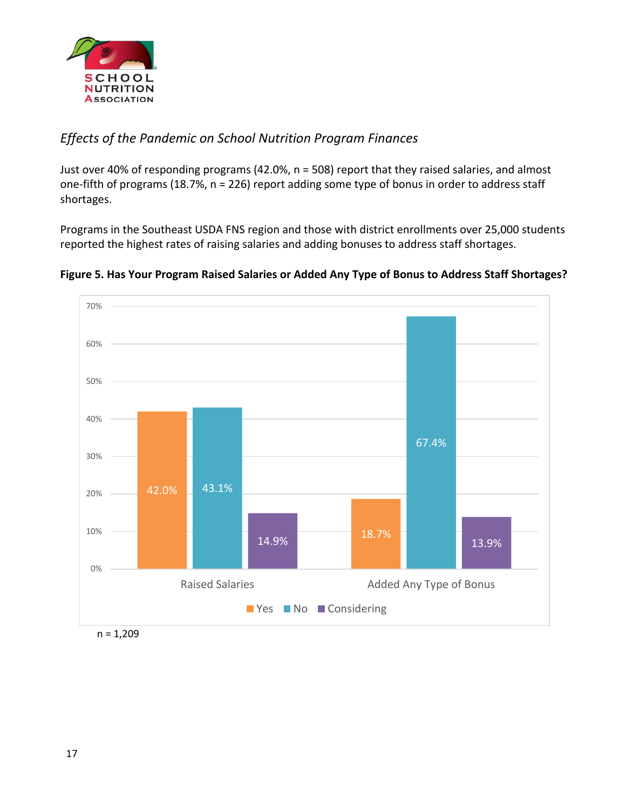

## *Effects of the Pandemic on School Nutrition Program Finances*

Just over 40% of responding programs (42.0%, n = 508) report that they raised salaries, and almost one-fifth of programs (18.7%, n = 226) report adding some type of bonus in order to address staff shortages.

Programs in the Southeast USDA FNS region and those with district enrollments over 25,000 students reported the highest rates of raising salaries and adding bonuses to address staff shortages.





 $n = 1,209$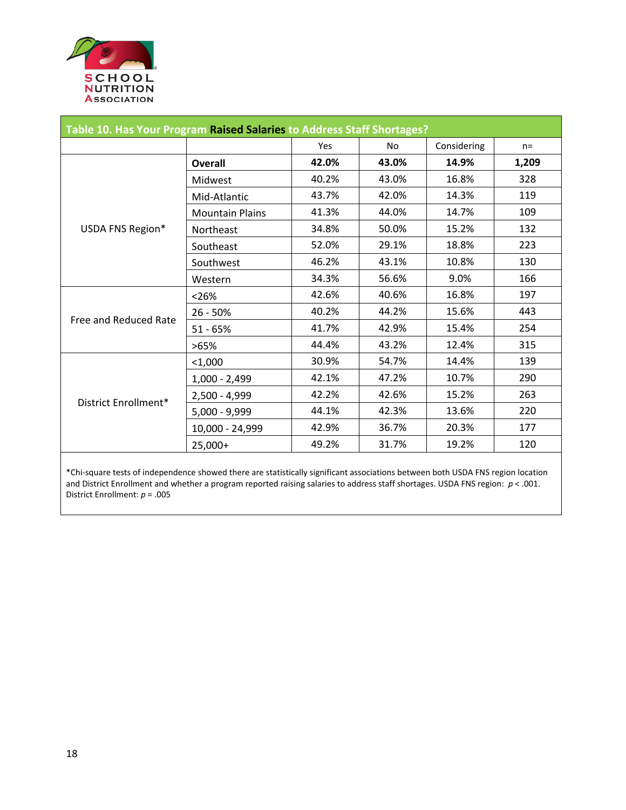

| Table 10. Has Your Program Raised Salaries to Address Staff Shortages? |                        |       |       |             |       |  |
|------------------------------------------------------------------------|------------------------|-------|-------|-------------|-------|--|
|                                                                        |                        | Yes   | No.   | Considering | $n =$ |  |
|                                                                        | <b>Overall</b>         | 42.0% | 43.0% | 14.9%       | 1,209 |  |
|                                                                        | Midwest                | 40.2% | 43.0% | 16.8%       | 328   |  |
|                                                                        | Mid-Atlantic           | 43.7% | 42.0% | 14.3%       | 119   |  |
|                                                                        | <b>Mountain Plains</b> | 41.3% | 44.0% | 14.7%       | 109   |  |
| USDA FNS Region*                                                       | Northeast              | 34.8% | 50.0% | 15.2%       | 132   |  |
|                                                                        | Southeast              | 52.0% | 29.1% | 18.8%       | 223   |  |
|                                                                        | Southwest              | 46.2% | 43.1% | 10.8%       | 130   |  |
|                                                                        | Western                | 34.3% | 56.6% | 9.0%        | 166   |  |
|                                                                        | < 26%                  | 42.6% | 40.6% | 16.8%       | 197   |  |
| Free and Reduced Rate                                                  | $26 - 50%$             | 40.2% | 44.2% | 15.6%       | 443   |  |
|                                                                        | $51 - 65%$             | 41.7% | 42.9% | 15.4%       | 254   |  |
|                                                                        | >65%                   | 44.4% | 43.2% | 12.4%       | 315   |  |
|                                                                        | $<$ 1,000              | 30.9% | 54.7% | 14.4%       | 139   |  |
|                                                                        | $1,000 - 2,499$        | 42.1% | 47.2% | 10.7%       | 290   |  |
| District Enrollment*                                                   | $2,500 - 4,999$        | 42.2% | 42.6% | 15.2%       | 263   |  |
|                                                                        | $5,000 - 9,999$        | 44.1% | 42.3% | 13.6%       | 220   |  |
|                                                                        | 10,000 - 24,999        | 42.9% | 36.7% | 20.3%       | 177   |  |
|                                                                        | 25,000+                | 49.2% | 31.7% | 19.2%       | 120   |  |

\*Chi-square tests of independence showed there are statistically significant associations between both USDA FNS region location and District Enrollment and whether a program reported raising salaries to address staff shortages. USDA FNS region: *p* < .001. District Enrollment: *p* = .005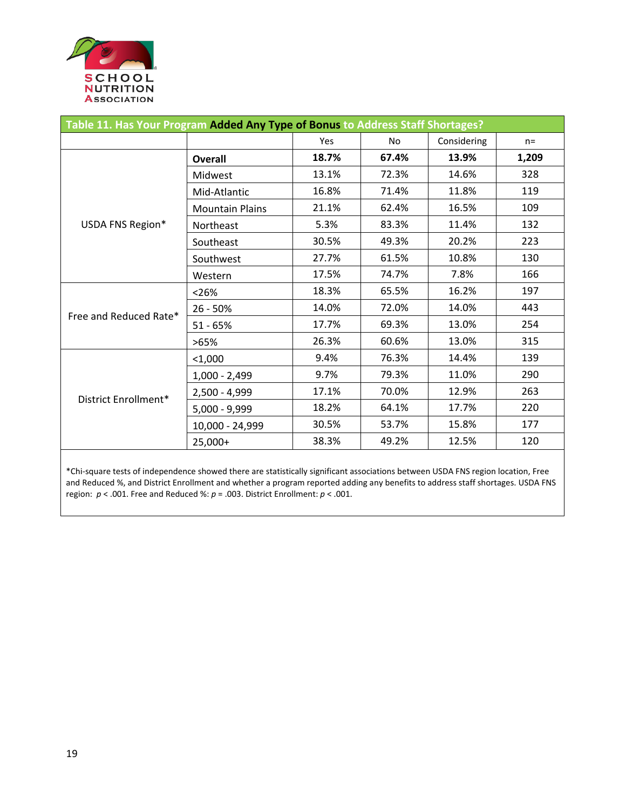

| Table 11. Has Your Program Added Any Type of Bonus to Address Staff Shortages? |                        |       |       |             |       |  |  |
|--------------------------------------------------------------------------------|------------------------|-------|-------|-------------|-------|--|--|
|                                                                                |                        | Yes   | No    | Considering | $n =$ |  |  |
|                                                                                | <b>Overall</b>         | 18.7% | 67.4% | 13.9%       | 1,209 |  |  |
|                                                                                | Midwest                | 13.1% | 72.3% | 14.6%       | 328   |  |  |
|                                                                                | Mid-Atlantic           | 16.8% | 71.4% | 11.8%       | 119   |  |  |
|                                                                                | <b>Mountain Plains</b> | 21.1% | 62.4% | 16.5%       | 109   |  |  |
| USDA FNS Region*                                                               | Northeast              | 5.3%  | 83.3% | 11.4%       | 132   |  |  |
|                                                                                | Southeast              | 30.5% | 49.3% | 20.2%       | 223   |  |  |
|                                                                                | Southwest              | 27.7% | 61.5% | 10.8%       | 130   |  |  |
|                                                                                | Western                | 17.5% | 74.7% | 7.8%        | 166   |  |  |
|                                                                                | < 26%                  | 18.3% | 65.5% | 16.2%       | 197   |  |  |
| Free and Reduced Rate*                                                         | 26 - 50%               | 14.0% | 72.0% | 14.0%       | 443   |  |  |
|                                                                                | $51 - 65%$             | 17.7% | 69.3% | 13.0%       | 254   |  |  |
|                                                                                | >65%                   | 26.3% | 60.6% | 13.0%       | 315   |  |  |
|                                                                                | $<$ 1,000              | 9.4%  | 76.3% | 14.4%       | 139   |  |  |
|                                                                                | $1,000 - 2,499$        | 9.7%  | 79.3% | 11.0%       | 290   |  |  |
|                                                                                | $2,500 - 4,999$        | 17.1% | 70.0% | 12.9%       | 263   |  |  |
| District Enrollment*                                                           | $5,000 - 9,999$        | 18.2% | 64.1% | 17.7%       | 220   |  |  |
|                                                                                | 10,000 - 24,999        | 30.5% | 53.7% | 15.8%       | 177   |  |  |
|                                                                                | 25,000+                | 38.3% | 49.2% | 12.5%       | 120   |  |  |

\*Chi-square tests of independence showed there are statistically significant associations between USDA FNS region location, Free and Reduced %, and District Enrollment and whether a program reported adding any benefits to address staff shortages. USDA FNS region: *p* < .001. Free and Reduced %: *p* = .003. District Enrollment: *p* < .001.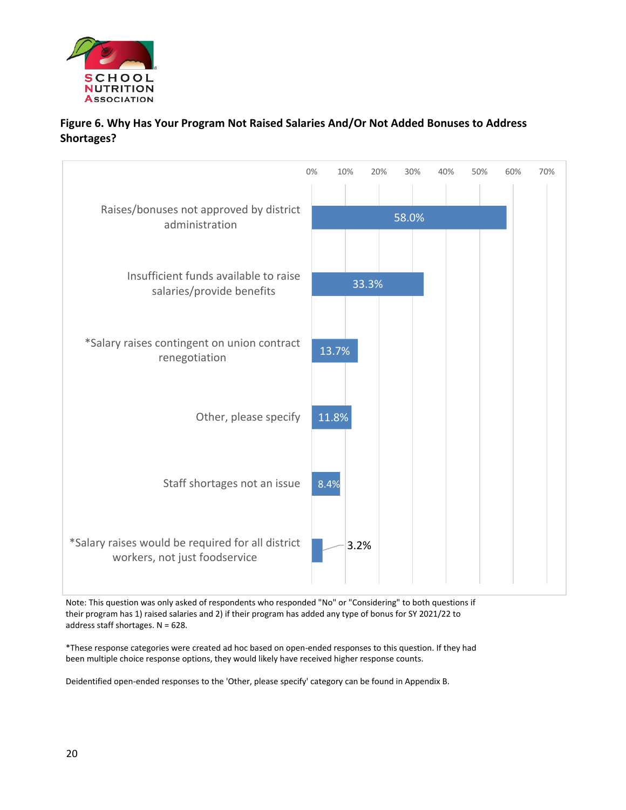

#### **Figure 6. Why Has Your Program Not Raised Salaries And/Or Not Added Bonuses to Address Shortages?**

|                                                                                    | 0% | 10%   | 20%   | 30%   | 40% | 50% | 60% | 70% |
|------------------------------------------------------------------------------------|----|-------|-------|-------|-----|-----|-----|-----|
| Raises/bonuses not approved by district<br>administration                          |    |       |       | 58.0% |     |     |     |     |
| Insufficient funds available to raise<br>salaries/provide benefits                 |    |       | 33.3% |       |     |     |     |     |
| *Salary raises contingent on union contract<br>renegotiation                       |    | 13.7% |       |       |     |     |     |     |
| Other, please specify                                                              |    | 11.8% |       |       |     |     |     |     |
| Staff shortages not an issue                                                       |    | 8.4%  |       |       |     |     |     |     |
| *Salary raises would be required for all district<br>workers, not just foodservice |    | 3.2%  |       |       |     |     |     |     |

Note: This question was only asked of respondents who responded "No" or "Considering" to both questions if their program has 1) raised salaries and 2) if their program has added any type of bonus for SY 2021/22 to address staff shortages. N = 628.

\*These response categories were created ad hoc based on open-ended responses to this question. If they had been multiple choice response options, they would likely have received higher response counts.

Deidentified open-ended responses to the 'Other, please specify' category can be found in Appendix B.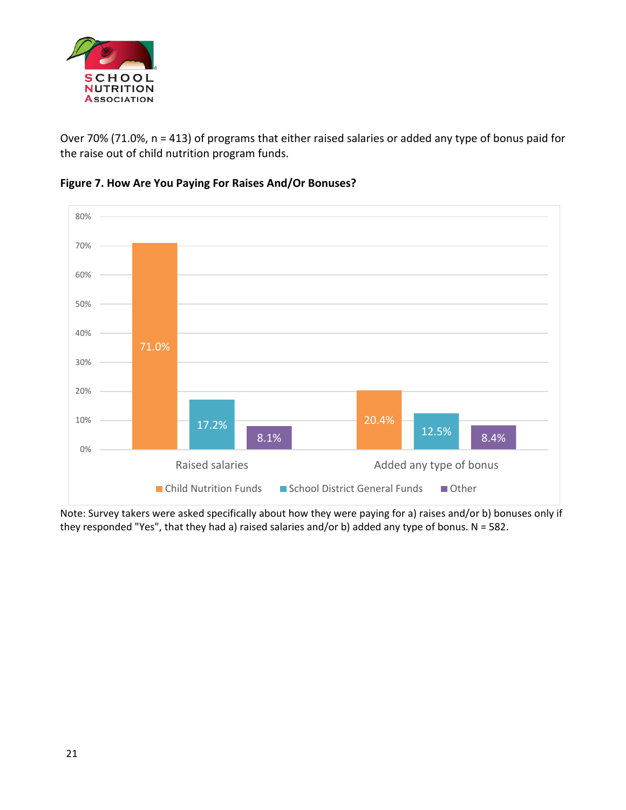

Over 70% (71.0%, n = 413) of programs that either raised salaries or added any type of bonus paid for the raise out of child nutrition program funds.





Note: Survey takers were asked specifically about how they were paying for a) raises and/or b) bonuses only if they responded "Yes", that they had a) raised salaries and/or b) added any type of bonus. N = 582.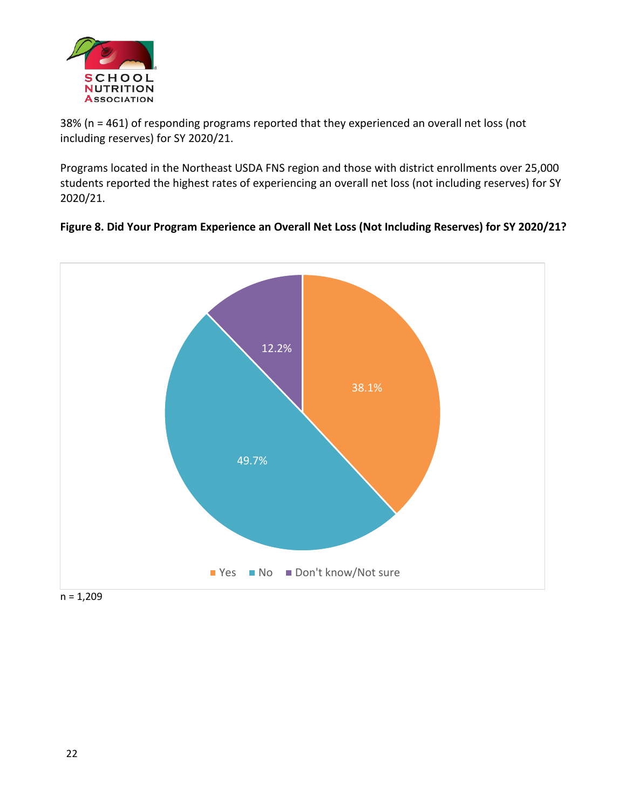

38% (n = 461) of responding programs reported that they experienced an overall net loss (not including reserves) for SY 2020/21.

Programs located in the Northeast USDA FNS region and those with district enrollments over 25,000 students reported the highest rates of experiencing an overall net loss (not including reserves) for SY 2020/21.



**Figure 8. Did Your Program Experience an Overall Net Loss (Not Including Reserves) for SY 2020/21?**

 $n = 1,209$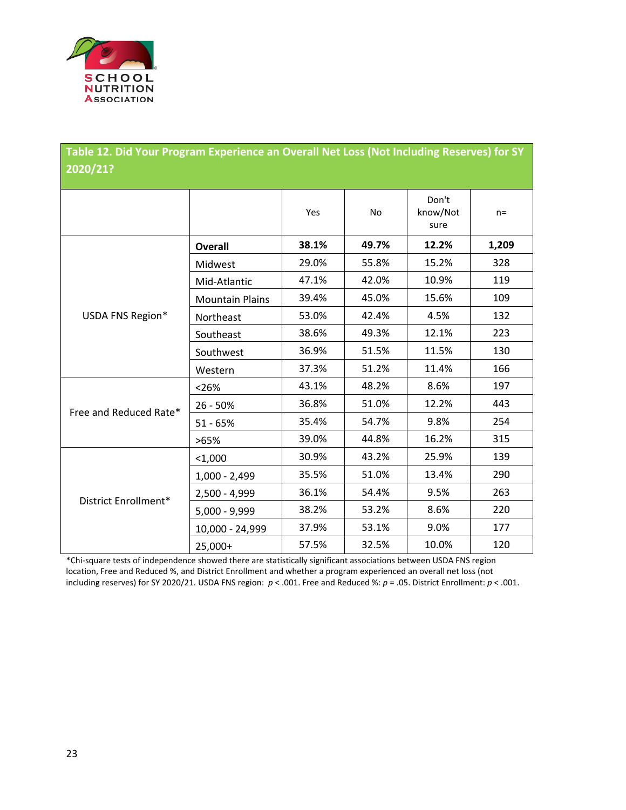

| Table 12. Did Your Program Experience an Overall Net Loss (Not Including Reserves) for SY |                        |       |       |                           |       |  |  |  |
|-------------------------------------------------------------------------------------------|------------------------|-------|-------|---------------------------|-------|--|--|--|
| 2020/21?                                                                                  |                        |       |       |                           |       |  |  |  |
|                                                                                           |                        |       |       |                           |       |  |  |  |
|                                                                                           |                        | Yes   | No    | Don't<br>know/Not<br>sure | $n =$ |  |  |  |
|                                                                                           | <b>Overall</b>         | 38.1% | 49.7% | 12.2%                     | 1,209 |  |  |  |
|                                                                                           | Midwest                | 29.0% | 55.8% | 15.2%                     | 328   |  |  |  |
|                                                                                           | Mid-Atlantic           | 47.1% | 42.0% | 10.9%                     | 119   |  |  |  |
|                                                                                           | <b>Mountain Plains</b> | 39.4% | 45.0% | 15.6%                     | 109   |  |  |  |
| USDA FNS Region*                                                                          | Northeast              | 53.0% | 42.4% | 4.5%                      | 132   |  |  |  |
|                                                                                           | Southeast              | 38.6% | 49.3% | 12.1%                     | 223   |  |  |  |
|                                                                                           | Southwest              | 36.9% | 51.5% | 11.5%                     | 130   |  |  |  |
|                                                                                           | Western                | 37.3% | 51.2% | 11.4%                     | 166   |  |  |  |
|                                                                                           | < 26%                  | 43.1% | 48.2% | 8.6%                      | 197   |  |  |  |
| Free and Reduced Rate*                                                                    | 26 - 50%               | 36.8% | 51.0% | 12.2%                     | 443   |  |  |  |
|                                                                                           | $51 - 65%$             | 35.4% | 54.7% | 9.8%                      | 254   |  |  |  |
|                                                                                           | >65%                   | 39.0% | 44.8% | 16.2%                     | 315   |  |  |  |
|                                                                                           | $1,000$                | 30.9% | 43.2% | 25.9%                     | 139   |  |  |  |
|                                                                                           | $1,000 - 2,499$        | 35.5% | 51.0% | 13.4%                     | 290   |  |  |  |
| District Enrollment*                                                                      | 2,500 - 4,999          | 36.1% | 54.4% | 9.5%                      | 263   |  |  |  |
|                                                                                           | 5,000 - 9,999          | 38.2% | 53.2% | 8.6%                      | 220   |  |  |  |
|                                                                                           | 10,000 - 24,999        | 37.9% | 53.1% | 9.0%                      | 177   |  |  |  |
|                                                                                           | 25,000+                | 57.5% | 32.5% | 10.0%                     | 120   |  |  |  |

\*Chi-square tests of independence showed there are statistically significant associations between USDA FNS region location, Free and Reduced %, and District Enrollment and whether a program experienced an overall net loss (not including reserves) for SY 2020/21. USDA FNS region: *p* < .001. Free and Reduced %: *p* = .05. District Enrollment: *p* < .001.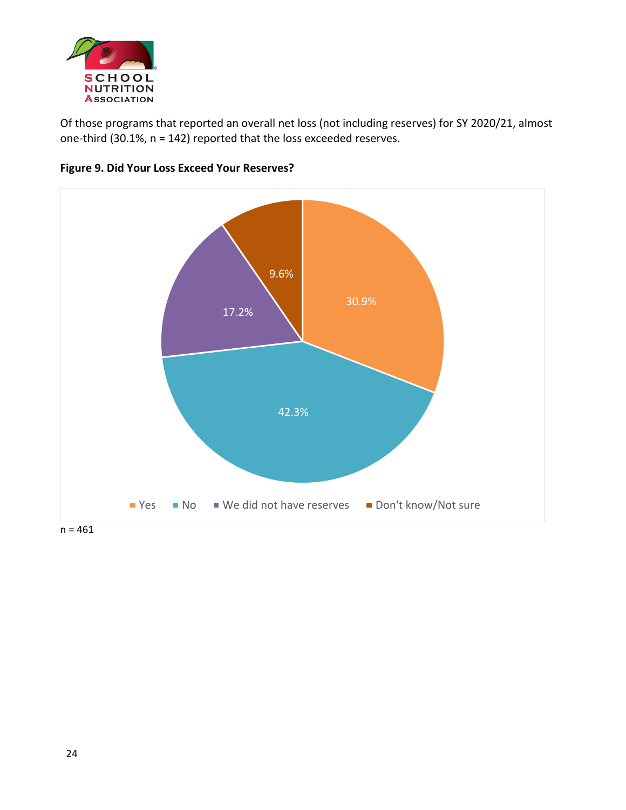

Of those programs that reported an overall net loss (not including reserves) for SY 2020/21, almost one-third (30.1%, n = 142) reported that the loss exceeded reserves.



#### **Figure 9. Did Your Loss Exceed Your Reserves?**

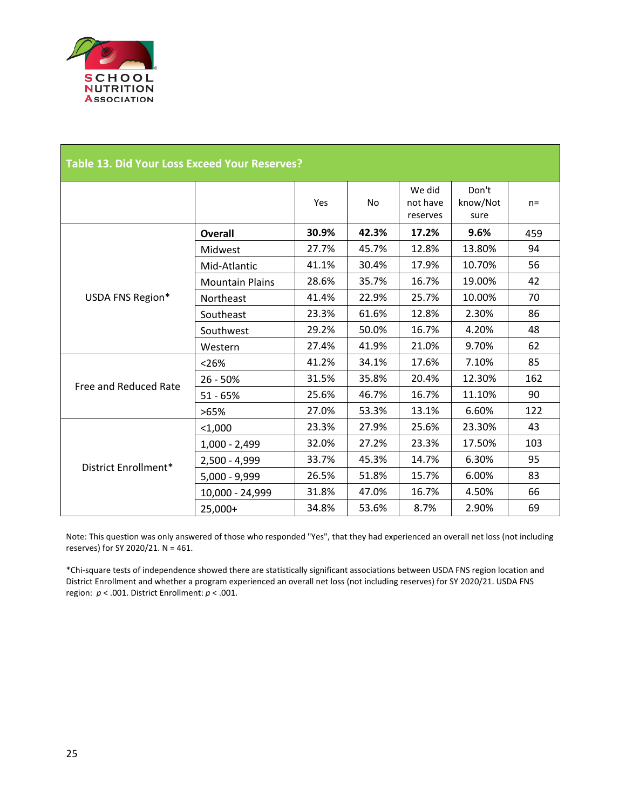

| <b>Table 13. Did Your Loss Exceed Your Reserves?</b> |                        |       |           |                                |                           |       |  |
|------------------------------------------------------|------------------------|-------|-----------|--------------------------------|---------------------------|-------|--|
|                                                      |                        | Yes   | <b>No</b> | We did<br>not have<br>reserves | Don't<br>know/Not<br>sure | $n =$ |  |
|                                                      | <b>Overall</b>         | 30.9% | 42.3%     | 17.2%                          | 9.6%                      | 459   |  |
|                                                      | Midwest                | 27.7% | 45.7%     | 12.8%                          | 13.80%                    | 94    |  |
|                                                      | Mid-Atlantic           | 41.1% | 30.4%     | 17.9%                          | 10.70%                    | 56    |  |
|                                                      | <b>Mountain Plains</b> | 28.6% | 35.7%     | 16.7%                          | 19.00%                    | 42    |  |
| USDA FNS Region*                                     | Northeast              | 41.4% | 22.9%     | 25.7%                          | 10.00%                    | 70    |  |
|                                                      | Southeast              | 23.3% | 61.6%     | 12.8%                          | 2.30%                     | 86    |  |
|                                                      | Southwest              | 29.2% | 50.0%     | 16.7%                          | 4.20%                     | 48    |  |
|                                                      | Western                | 27.4% | 41.9%     | 21.0%                          | 9.70%                     | 62    |  |
|                                                      | < 26%                  | 41.2% | 34.1%     | 17.6%                          | 7.10%                     | 85    |  |
| Free and Reduced Rate                                | $26 - 50%$             | 31.5% | 35.8%     | 20.4%                          | 12.30%                    | 162   |  |
|                                                      | $51 - 65%$             | 25.6% | 46.7%     | 16.7%                          | 11.10%                    | 90    |  |
|                                                      | >65%                   | 27.0% | 53.3%     | 13.1%                          | 6.60%                     | 122   |  |
|                                                      | $<$ 1,000              | 23.3% | 27.9%     | 25.6%                          | 23.30%                    | 43    |  |
|                                                      | $1,000 - 2,499$        | 32.0% | 27.2%     | 23.3%                          | 17.50%                    | 103   |  |
|                                                      | $2,500 - 4,999$        | 33.7% | 45.3%     | 14.7%                          | 6.30%                     | 95    |  |
| District Enrollment*                                 | $5,000 - 9,999$        | 26.5% | 51.8%     | 15.7%                          | 6.00%                     | 83    |  |
|                                                      | 10,000 - 24,999        | 31.8% | 47.0%     | 16.7%                          | 4.50%                     | 66    |  |
|                                                      | 25,000+                | 34.8% | 53.6%     | 8.7%                           | 2.90%                     | 69    |  |

Note: This question was only answered of those who responded "Yes", that they had experienced an overall net loss (not including reserves) for SY 2020/21. N = 461.

\*Chi-square tests of independence showed there are statistically significant associations between USDA FNS region location and District Enrollment and whether a program experienced an overall net loss (not including reserves) for SY 2020/21. USDA FNS region: *p* < .001. District Enrollment: *p* < .001.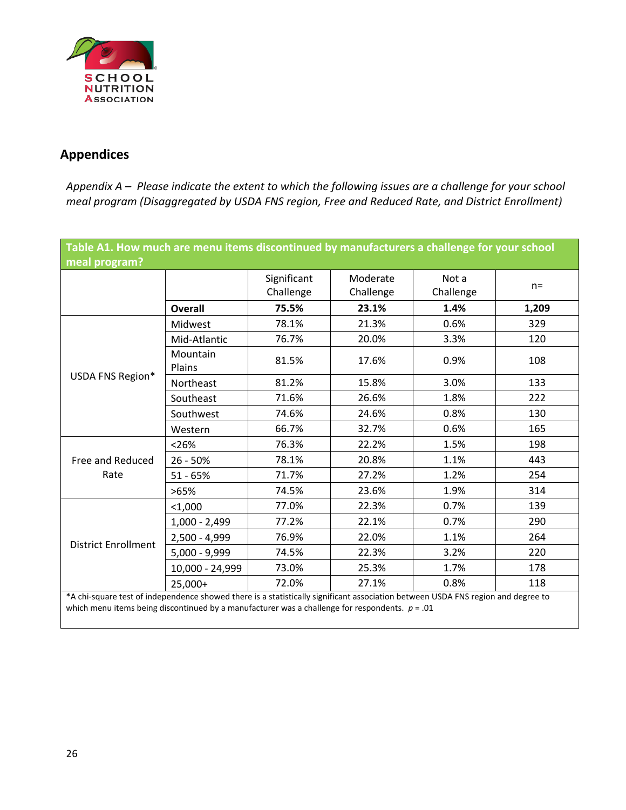

## **Appendices**

*Appendix A – Please indicate the extent to which the following issues are a challenge for your school meal program (Disaggregated by USDA FNS region, Free and Reduced Rate, and District Enrollment)*

| Table A1. How much are menu items discontinued by manufacturers a challenge for your school<br>meal program?                                                                                                                         |                    |                          |                       |                    |       |  |
|--------------------------------------------------------------------------------------------------------------------------------------------------------------------------------------------------------------------------------------|--------------------|--------------------------|-----------------------|--------------------|-------|--|
|                                                                                                                                                                                                                                      |                    | Significant<br>Challenge | Moderate<br>Challenge | Not a<br>Challenge | $n =$ |  |
|                                                                                                                                                                                                                                      | <b>Overall</b>     | 75.5%                    | 23.1%                 | 1.4%               | 1,209 |  |
|                                                                                                                                                                                                                                      | Midwest            | 78.1%                    | 21.3%                 | 0.6%               | 329   |  |
|                                                                                                                                                                                                                                      | Mid-Atlantic       | 76.7%                    | 20.0%                 | 3.3%               | 120   |  |
|                                                                                                                                                                                                                                      | Mountain<br>Plains | 81.5%                    | 17.6%                 | 0.9%               | 108   |  |
| USDA FNS Region*                                                                                                                                                                                                                     | Northeast          | 81.2%                    | 15.8%                 | 3.0%               | 133   |  |
|                                                                                                                                                                                                                                      | Southeast          | 71.6%                    | 26.6%                 | 1.8%               | 222   |  |
|                                                                                                                                                                                                                                      | Southwest          | 74.6%                    | 24.6%                 | 0.8%               | 130   |  |
|                                                                                                                                                                                                                                      | Western            | 66.7%                    | 32.7%                 | 0.6%               | 165   |  |
|                                                                                                                                                                                                                                      | < 26%              | 76.3%                    | 22.2%                 | 1.5%               | 198   |  |
| Free and Reduced                                                                                                                                                                                                                     | $26 - 50%$         | 78.1%                    | 20.8%                 | 1.1%               | 443   |  |
| Rate                                                                                                                                                                                                                                 | $51 - 65%$         | 71.7%                    | 27.2%                 | 1.2%               | 254   |  |
|                                                                                                                                                                                                                                      | >65%               | 74.5%                    | 23.6%                 | 1.9%               | 314   |  |
|                                                                                                                                                                                                                                      | < 1,000            | 77.0%                    | 22.3%                 | 0.7%               | 139   |  |
|                                                                                                                                                                                                                                      | $1,000 - 2,499$    | 77.2%                    | 22.1%                 | 0.7%               | 290   |  |
| <b>District Enrollment</b>                                                                                                                                                                                                           | $2,500 - 4,999$    | 76.9%                    | 22.0%                 | 1.1%               | 264   |  |
|                                                                                                                                                                                                                                      | $5,000 - 9,999$    | 74.5%                    | 22.3%                 | 3.2%               | 220   |  |
|                                                                                                                                                                                                                                      | 10,000 - 24,999    | 73.0%                    | 25.3%                 | 1.7%               | 178   |  |
|                                                                                                                                                                                                                                      | 25,000+            | 72.0%                    | 27.1%                 | 0.8%               | 118   |  |
| *A chi-square test of independence showed there is a statistically significant association between USDA FNS region and degree to<br>which menu items being discontinued by a manufacturer was a challenge for respondents. $p = .01$ |                    |                          |                       |                    |       |  |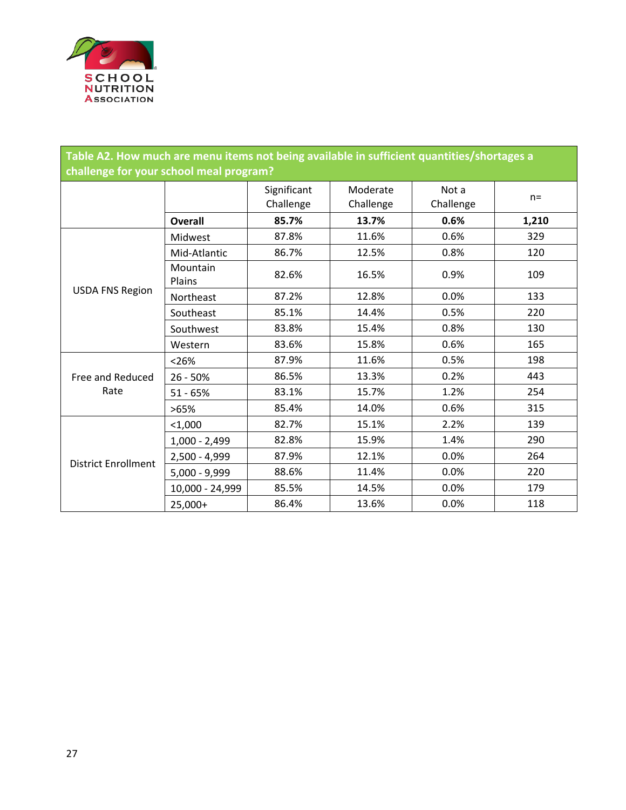

| Table A2. How much are menu items not being available in sufficient quantities/shortages a<br>challenge for your school meal program? |                    |                          |                       |                    |       |  |  |
|---------------------------------------------------------------------------------------------------------------------------------------|--------------------|--------------------------|-----------------------|--------------------|-------|--|--|
|                                                                                                                                       |                    | Significant<br>Challenge | Moderate<br>Challenge | Not a<br>Challenge | $n =$ |  |  |
|                                                                                                                                       | <b>Overall</b>     | 85.7%                    | 13.7%                 | 0.6%               | 1,210 |  |  |
|                                                                                                                                       | Midwest            | 87.8%                    | 11.6%                 | 0.6%               | 329   |  |  |
|                                                                                                                                       | Mid-Atlantic       | 86.7%                    | 12.5%                 | 0.8%               | 120   |  |  |
|                                                                                                                                       | Mountain<br>Plains | 82.6%                    | 16.5%                 | 0.9%               | 109   |  |  |
| <b>USDA FNS Region</b>                                                                                                                | Northeast          | 87.2%                    | 12.8%                 | 0.0%               | 133   |  |  |
|                                                                                                                                       | Southeast          | 85.1%                    | 14.4%                 | 0.5%               | 220   |  |  |
|                                                                                                                                       | Southwest          | 83.8%                    | 15.4%                 | 0.8%               | 130   |  |  |
|                                                                                                                                       | Western            | 83.6%                    | 15.8%                 | 0.6%               | 165   |  |  |
|                                                                                                                                       | < 26%              | 87.9%                    | 11.6%                 | 0.5%               | 198   |  |  |
| Free and Reduced                                                                                                                      | $26 - 50%$         | 86.5%                    | 13.3%                 | 0.2%               | 443   |  |  |
| Rate                                                                                                                                  | $51 - 65%$         | 83.1%                    | 15.7%                 | 1.2%               | 254   |  |  |
|                                                                                                                                       | >65%               | 85.4%                    | 14.0%                 | 0.6%               | 315   |  |  |
|                                                                                                                                       | $1,000$            | 82.7%                    | 15.1%                 | 2.2%               | 139   |  |  |
|                                                                                                                                       | $1,000 - 2,499$    | 82.8%                    | 15.9%                 | 1.4%               | 290   |  |  |
| <b>District Enrollment</b>                                                                                                            | $2,500 - 4,999$    | 87.9%                    | 12.1%                 | 0.0%               | 264   |  |  |
|                                                                                                                                       | $5,000 - 9,999$    | 88.6%                    | 11.4%                 | 0.0%               | 220   |  |  |
|                                                                                                                                       | 10,000 - 24,999    | 85.5%                    | 14.5%                 | 0.0%               | 179   |  |  |
|                                                                                                                                       | 25,000+            | 86.4%                    | 13.6%                 | 0.0%               | 118   |  |  |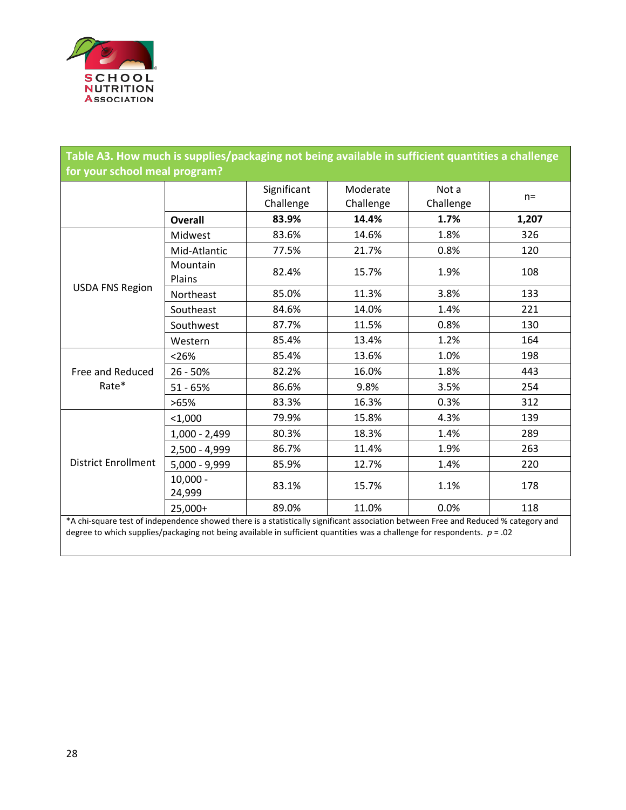

| Table A3. How much is supplies/packaging not being available in sufficient quantities a challenge<br>for your school meal program? |                      |                          |                       |                    |       |  |
|------------------------------------------------------------------------------------------------------------------------------------|----------------------|--------------------------|-----------------------|--------------------|-------|--|
|                                                                                                                                    |                      | Significant<br>Challenge | Moderate<br>Challenge | Not a<br>Challenge | $n =$ |  |
|                                                                                                                                    | <b>Overall</b>       | 83.9%                    | 14.4%                 | 1.7%               | 1,207 |  |
|                                                                                                                                    | Midwest              | 83.6%                    | 14.6%                 | 1.8%               | 326   |  |
|                                                                                                                                    | Mid-Atlantic         | 77.5%                    | 21.7%                 | 0.8%               | 120   |  |
| <b>USDA FNS Region</b>                                                                                                             | Mountain<br>Plains   | 82.4%                    | 15.7%                 | 1.9%               | 108   |  |
|                                                                                                                                    | Northeast            | 85.0%                    | 11.3%                 | 3.8%               | 133   |  |
|                                                                                                                                    | Southeast            | 84.6%                    | 14.0%                 | 1.4%               | 221   |  |
|                                                                                                                                    | Southwest            | 87.7%                    | 11.5%                 | 0.8%               | 130   |  |
|                                                                                                                                    | Western              | 85.4%                    | 13.4%                 | 1.2%               | 164   |  |
|                                                                                                                                    | < 26%                | 85.4%                    | 13.6%                 | 1.0%               | 198   |  |
| <b>Free and Reduced</b>                                                                                                            | $26 - 50%$           | 82.2%                    | 16.0%                 | 1.8%               | 443   |  |
| Rate*                                                                                                                              | $51 - 65%$           | 86.6%                    | 9.8%                  | 3.5%               | 254   |  |
|                                                                                                                                    | >65%                 | 83.3%                    | 16.3%                 | 0.3%               | 312   |  |
|                                                                                                                                    | $1,000$              | 79.9%                    | 15.8%                 | 4.3%               | 139   |  |
|                                                                                                                                    | $1,000 - 2,499$      | 80.3%                    | 18.3%                 | 1.4%               | 289   |  |
|                                                                                                                                    | 2,500 - 4,999        | 86.7%                    | 11.4%                 | 1.9%               | 263   |  |
| <b>District Enrollment</b>                                                                                                         | $5,000 - 9,999$      | 85.9%                    | 12.7%                 | 1.4%               | 220   |  |
|                                                                                                                                    | $10,000 -$<br>24,999 | 83.1%                    | 15.7%                 | 1.1%               | 178   |  |
|                                                                                                                                    | 25,000+              | 89.0%                    | 11.0%                 | 0.0%               | 118   |  |
| *A chi-square test of independence showed there is a statistically significant association between Free and Reduced % category and |                      |                          |                       |                    |       |  |

degree to which supplies/packaging not being available in sufficient quantities was a challenge for respondents. *p* = .02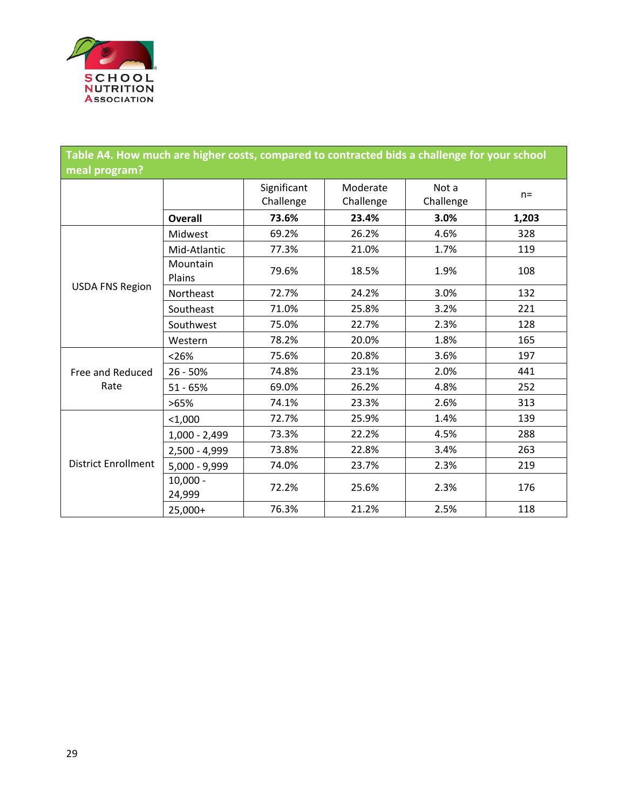

| Table A4. How much are higher costs, compared to contracted bids a challenge for your school |                      |                          |                       |                    |       |  |  |  |
|----------------------------------------------------------------------------------------------|----------------------|--------------------------|-----------------------|--------------------|-------|--|--|--|
| meal program?                                                                                |                      |                          |                       |                    |       |  |  |  |
|                                                                                              |                      | Significant<br>Challenge | Moderate<br>Challenge | Not a<br>Challenge | $n =$ |  |  |  |
|                                                                                              | <b>Overall</b>       | 73.6%                    | 23.4%                 | 3.0%               | 1,203 |  |  |  |
|                                                                                              | Midwest              | 69.2%                    | 26.2%                 | 4.6%               | 328   |  |  |  |
|                                                                                              | Mid-Atlantic         | 77.3%                    | 21.0%                 | 1.7%               | 119   |  |  |  |
| <b>USDA FNS Region</b>                                                                       | Mountain<br>Plains   | 79.6%                    | 18.5%                 | 1.9%               | 108   |  |  |  |
|                                                                                              | Northeast            | 72.7%                    | 24.2%                 | 3.0%               | 132   |  |  |  |
|                                                                                              | Southeast            | 71.0%                    | 25.8%                 | 3.2%               | 221   |  |  |  |
|                                                                                              | Southwest            | 75.0%                    | 22.7%                 | 2.3%               | 128   |  |  |  |
|                                                                                              | Western              | 78.2%                    | 20.0%                 | 1.8%               | 165   |  |  |  |
|                                                                                              | < 26%                | 75.6%                    | 20.8%                 | 3.6%               | 197   |  |  |  |
| Free and Reduced                                                                             | $26 - 50%$           | 74.8%                    | 23.1%                 | 2.0%               | 441   |  |  |  |
| Rate                                                                                         | $51 - 65%$           | 69.0%                    | 26.2%                 | 4.8%               | 252   |  |  |  |
|                                                                                              | >65%                 | 74.1%                    | 23.3%                 | 2.6%               | 313   |  |  |  |
|                                                                                              | $1,000$              | 72.7%                    | 25.9%                 | 1.4%               | 139   |  |  |  |
|                                                                                              | $1,000 - 2,499$      | 73.3%                    | 22.2%                 | 4.5%               | 288   |  |  |  |
|                                                                                              | $2,500 - 4,999$      | 73.8%                    | 22.8%                 | 3.4%               | 263   |  |  |  |
| <b>District Enrollment</b>                                                                   | $5,000 - 9,999$      | 74.0%                    | 23.7%                 | 2.3%               | 219   |  |  |  |
|                                                                                              | $10,000 -$<br>24,999 | 72.2%                    | 25.6%                 | 2.3%               | 176   |  |  |  |
|                                                                                              | 25,000+              | 76.3%                    | 21.2%                 | 2.5%               | 118   |  |  |  |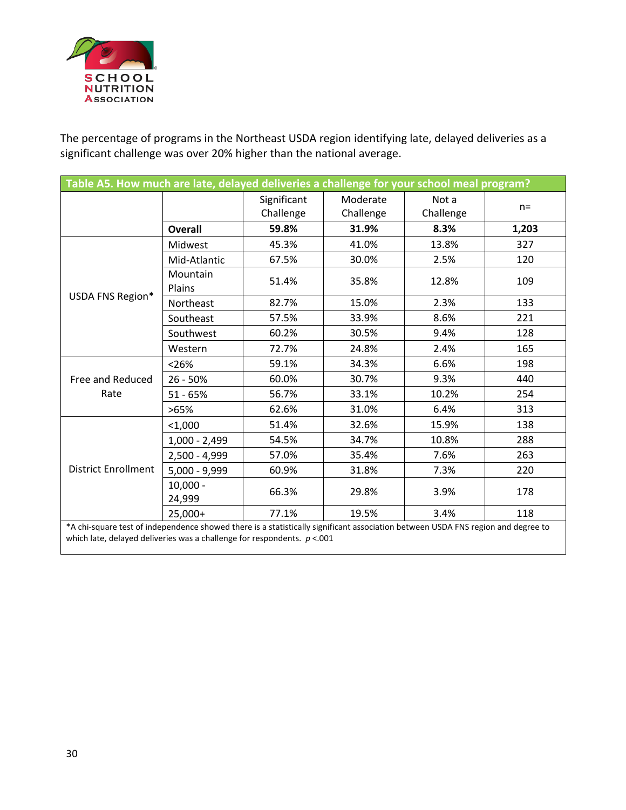

The percentage of programs in the Northeast USDA region identifying late, delayed deliveries as a significant challenge was over 20% higher than the national average.

| Table A5. How much are late, delayed deliveries a challenge for your school meal program?                                                                                                                       |                      |                          |                       |                    |       |
|-----------------------------------------------------------------------------------------------------------------------------------------------------------------------------------------------------------------|----------------------|--------------------------|-----------------------|--------------------|-------|
|                                                                                                                                                                                                                 |                      | Significant<br>Challenge | Moderate<br>Challenge | Not a<br>Challenge | $n =$ |
|                                                                                                                                                                                                                 | <b>Overall</b>       | 59.8%                    | 31.9%                 | 8.3%               | 1,203 |
|                                                                                                                                                                                                                 | Midwest              | 45.3%                    | 41.0%                 | 13.8%              | 327   |
|                                                                                                                                                                                                                 | Mid-Atlantic         | 67.5%                    | 30.0%                 | 2.5%               | 120   |
|                                                                                                                                                                                                                 | Mountain<br>Plains   | 51.4%                    | 35.8%                 | 12.8%              | 109   |
| USDA FNS Region*                                                                                                                                                                                                | Northeast            | 82.7%                    | 15.0%                 | 2.3%               | 133   |
|                                                                                                                                                                                                                 | Southeast            | 57.5%                    | 33.9%                 | 8.6%               | 221   |
|                                                                                                                                                                                                                 | Southwest            | 60.2%                    | 30.5%                 | 9.4%               | 128   |
|                                                                                                                                                                                                                 | Western              | 72.7%                    | 24.8%                 | 2.4%               | 165   |
|                                                                                                                                                                                                                 | < 26%                | 59.1%                    | 34.3%                 | 6.6%               | 198   |
| Free and Reduced                                                                                                                                                                                                | $26 - 50%$           | 60.0%                    | 30.7%                 | 9.3%               | 440   |
| Rate                                                                                                                                                                                                            | $51 - 65%$           | 56.7%                    | 33.1%                 | 10.2%              | 254   |
|                                                                                                                                                                                                                 | >65%                 | 62.6%                    | 31.0%                 | 6.4%               | 313   |
|                                                                                                                                                                                                                 | < 1,000              | 51.4%                    | 32.6%                 | 15.9%              | 138   |
|                                                                                                                                                                                                                 | $1,000 - 2,499$      | 54.5%                    | 34.7%                 | 10.8%              | 288   |
|                                                                                                                                                                                                                 | 2,500 - 4,999        | 57.0%                    | 35.4%                 | 7.6%               | 263   |
| <b>District Enrollment</b>                                                                                                                                                                                      | $5,000 - 9,999$      | 60.9%                    | 31.8%                 | 7.3%               | 220   |
|                                                                                                                                                                                                                 | $10,000 -$<br>24,999 | 66.3%                    | 29.8%                 | 3.9%               | 178   |
|                                                                                                                                                                                                                 | 25,000+              | 77.1%                    | 19.5%                 | 3.4%               | 118   |
| *A chi-square test of independence showed there is a statistically significant association between USDA FNS region and degree to<br>which late, delayed deliveries was a challenge for respondents. $p < 0.001$ |                      |                          |                       |                    |       |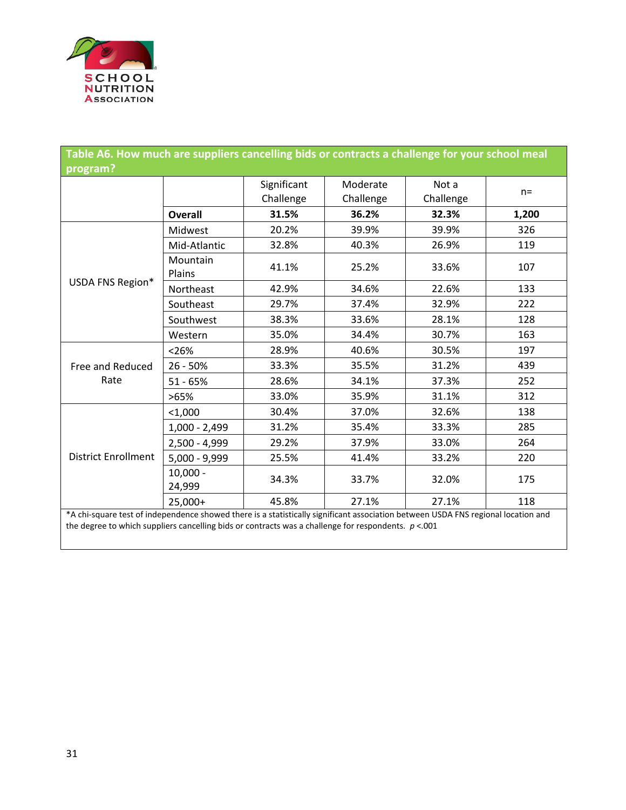

| Table A6. How much are suppliers cancelling bids or contracts a challenge for your school meal<br>program?                                                                                                                                 |                           |                          |                       |                    |       |  |
|--------------------------------------------------------------------------------------------------------------------------------------------------------------------------------------------------------------------------------------------|---------------------------|--------------------------|-----------------------|--------------------|-------|--|
|                                                                                                                                                                                                                                            |                           | Significant<br>Challenge | Moderate<br>Challenge | Not a<br>Challenge | $n =$ |  |
|                                                                                                                                                                                                                                            | <b>Overall</b>            | 31.5%                    | 36.2%                 | 32.3%              | 1,200 |  |
|                                                                                                                                                                                                                                            | Midwest                   | 20.2%                    | 39.9%                 | 39.9%              | 326   |  |
|                                                                                                                                                                                                                                            | Mid-Atlantic              | 32.8%                    | 40.3%                 | 26.9%              | 119   |  |
|                                                                                                                                                                                                                                            | <b>Mountain</b><br>Plains | 41.1%                    | 25.2%                 | 33.6%              | 107   |  |
| USDA FNS Region*                                                                                                                                                                                                                           | Northeast                 | 42.9%                    | 34.6%                 | 22.6%              | 133   |  |
|                                                                                                                                                                                                                                            | Southeast                 | 29.7%                    | 37.4%                 | 32.9%              | 222   |  |
|                                                                                                                                                                                                                                            | Southwest                 | 38.3%                    | 33.6%                 | 28.1%              | 128   |  |
|                                                                                                                                                                                                                                            | Western                   | 35.0%                    | 34.4%                 | 30.7%              | 163   |  |
|                                                                                                                                                                                                                                            | < 26%                     | 28.9%                    | 40.6%                 | 30.5%              | 197   |  |
| Free and Reduced                                                                                                                                                                                                                           | $26 - 50%$                | 33.3%                    | 35.5%                 | 31.2%              | 439   |  |
| Rate                                                                                                                                                                                                                                       | $51 - 65%$                | 28.6%                    | 34.1%                 | 37.3%              | 252   |  |
|                                                                                                                                                                                                                                            | >65%                      | 33.0%                    | 35.9%                 | 31.1%              | 312   |  |
|                                                                                                                                                                                                                                            | $<$ 1,000                 | 30.4%                    | 37.0%                 | 32.6%              | 138   |  |
|                                                                                                                                                                                                                                            | $1,000 - 2,499$           | 31.2%                    | 35.4%                 | 33.3%              | 285   |  |
|                                                                                                                                                                                                                                            | 2,500 - 4,999             | 29.2%                    | 37.9%                 | 33.0%              | 264   |  |
| <b>District Enrollment</b>                                                                                                                                                                                                                 | $5,000 - 9,999$           | 25.5%                    | 41.4%                 | 33.2%              | 220   |  |
|                                                                                                                                                                                                                                            | $10,000 -$<br>24,999      | 34.3%                    | 33.7%                 | 32.0%              | 175   |  |
|                                                                                                                                                                                                                                            | 25,000+                   | 45.8%                    | 27.1%                 | 27.1%              | 118   |  |
| *A chi-square test of independence showed there is a statistically significant association between USDA FNS regional location and<br>the degree to which suppliers cancelling bids or contracts was a challenge for respondents. $p < 001$ |                           |                          |                       |                    |       |  |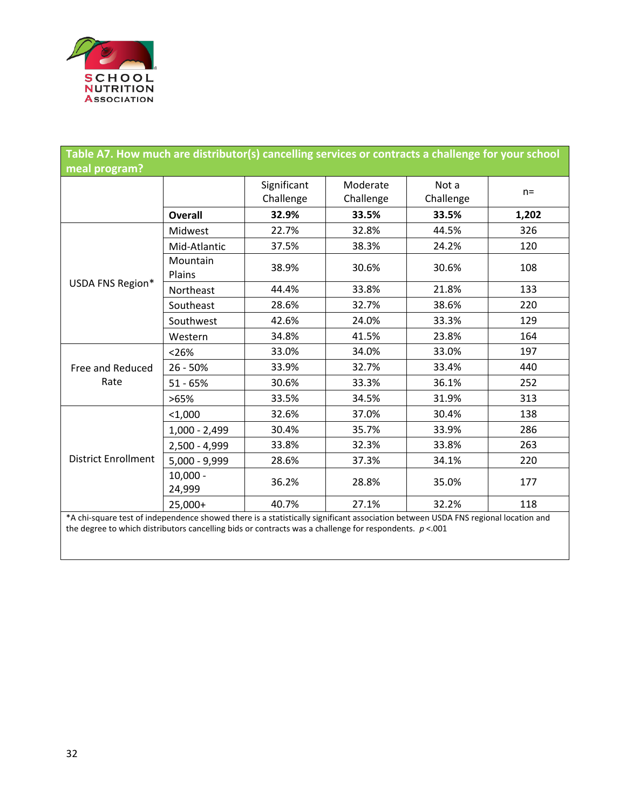

|                                                                                                                                   | Table A7. How much are distributor(s) cancelling services or contracts a challenge for your school |                          |                       |                    |       |  |  |
|-----------------------------------------------------------------------------------------------------------------------------------|----------------------------------------------------------------------------------------------------|--------------------------|-----------------------|--------------------|-------|--|--|
| meal program?                                                                                                                     |                                                                                                    |                          |                       |                    |       |  |  |
|                                                                                                                                   |                                                                                                    | Significant<br>Challenge | Moderate<br>Challenge | Not a<br>Challenge | $n =$ |  |  |
|                                                                                                                                   | <b>Overall</b>                                                                                     | 32.9%                    | 33.5%                 | 33.5%              | 1,202 |  |  |
|                                                                                                                                   | Midwest                                                                                            | 22.7%                    | 32.8%                 | 44.5%              | 326   |  |  |
|                                                                                                                                   | Mid-Atlantic                                                                                       | 37.5%                    | 38.3%                 | 24.2%              | 120   |  |  |
|                                                                                                                                   | Mountain<br>Plains                                                                                 | 38.9%                    | 30.6%                 | 30.6%              | 108   |  |  |
| USDA FNS Region*                                                                                                                  | Northeast                                                                                          | 44.4%                    | 33.8%                 | 21.8%              | 133   |  |  |
|                                                                                                                                   | Southeast                                                                                          | 28.6%                    | 32.7%                 | 38.6%              | 220   |  |  |
|                                                                                                                                   | Southwest                                                                                          | 42.6%                    | 24.0%                 | 33.3%              | 129   |  |  |
|                                                                                                                                   | Western                                                                                            | 34.8%                    | 41.5%                 | 23.8%              | 164   |  |  |
|                                                                                                                                   | < 26%                                                                                              | 33.0%                    | 34.0%                 | 33.0%              | 197   |  |  |
| Free and Reduced                                                                                                                  | 26 - 50%                                                                                           | 33.9%                    | 32.7%                 | 33.4%              | 440   |  |  |
| Rate                                                                                                                              | $51 - 65%$                                                                                         | 30.6%                    | 33.3%                 | 36.1%              | 252   |  |  |
|                                                                                                                                   | >65%                                                                                               | 33.5%                    | 34.5%                 | 31.9%              | 313   |  |  |
|                                                                                                                                   | $1,000$                                                                                            | 32.6%                    | 37.0%                 | 30.4%              | 138   |  |  |
|                                                                                                                                   | $1,000 - 2,499$                                                                                    | 30.4%                    | 35.7%                 | 33.9%              | 286   |  |  |
|                                                                                                                                   | $2,500 - 4,999$                                                                                    | 33.8%                    | 32.3%                 | 33.8%              | 263   |  |  |
| <b>District Enrollment</b>                                                                                                        | $5,000 - 9,999$                                                                                    | 28.6%                    | 37.3%                 | 34.1%              | 220   |  |  |
|                                                                                                                                   | $10,000 -$<br>24,999                                                                               | 36.2%                    | 28.8%                 | 35.0%              | 177   |  |  |
|                                                                                                                                   | $25,000+$                                                                                          | 40.7%                    | 27.1%                 | 32.2%              | 118   |  |  |
| *A chi-square test of independence showed there is a statistically significant association between USDA FNS regional location and |                                                                                                    |                          |                       |                    |       |  |  |

the degree to which distributors cancelling bids or contracts was a challenge for respondents. *p* <.001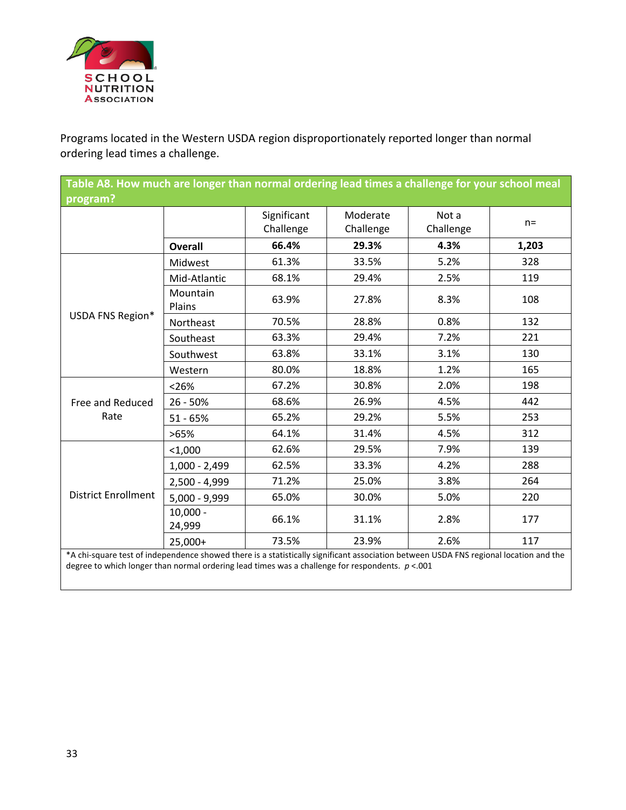

Programs located in the Western USDA region disproportionately reported longer than normal ordering lead times a challenge.

| program?<br>Significant<br>Moderate<br>Not a<br>$n =$<br>Challenge<br>Challenge<br>Challenge<br>66.4%<br>29.3%<br>1,203<br>4.3%<br><b>Overall</b><br>61.3%<br>33.5%<br>328<br>5.2%<br>Midwest<br>68.1%<br>29.4%<br>2.5%<br>119<br>Mid-Atlantic<br>Mountain |  |  |  |  |  |  |  |
|------------------------------------------------------------------------------------------------------------------------------------------------------------------------------------------------------------------------------------------------------------|--|--|--|--|--|--|--|
|                                                                                                                                                                                                                                                            |  |  |  |  |  |  |  |
|                                                                                                                                                                                                                                                            |  |  |  |  |  |  |  |
|                                                                                                                                                                                                                                                            |  |  |  |  |  |  |  |
|                                                                                                                                                                                                                                                            |  |  |  |  |  |  |  |
|                                                                                                                                                                                                                                                            |  |  |  |  |  |  |  |
| 63.9%<br>27.8%<br>8.3%<br>108<br>Plains                                                                                                                                                                                                                    |  |  |  |  |  |  |  |
| USDA FNS Region*<br>132<br>70.5%<br>28.8%<br>0.8%<br>Northeast                                                                                                                                                                                             |  |  |  |  |  |  |  |
| 63.3%<br>29.4%<br>7.2%<br>221<br>Southeast                                                                                                                                                                                                                 |  |  |  |  |  |  |  |
| 63.8%<br>33.1%<br>3.1%<br>130<br>Southwest                                                                                                                                                                                                                 |  |  |  |  |  |  |  |
| 80.0%<br>18.8%<br>1.2%<br>165<br>Western                                                                                                                                                                                                                   |  |  |  |  |  |  |  |
| 67.2%<br>30.8%<br>2.0%<br>198<br>< 26%                                                                                                                                                                                                                     |  |  |  |  |  |  |  |
| 68.6%<br>26.9%<br>4.5%<br>442<br>$26 - 50%$<br>Free and Reduced                                                                                                                                                                                            |  |  |  |  |  |  |  |
| Rate<br>65.2%<br>29.2%<br>5.5%<br>253<br>$51 - 65%$                                                                                                                                                                                                        |  |  |  |  |  |  |  |
| 64.1%<br>31.4%<br>312<br>4.5%<br>>65%                                                                                                                                                                                                                      |  |  |  |  |  |  |  |
| 62.6%<br>139<br>29.5%<br>7.9%<br>$1,000$                                                                                                                                                                                                                   |  |  |  |  |  |  |  |
| 33.3%<br>288<br>62.5%<br>4.2%<br>$1,000 - 2,499$                                                                                                                                                                                                           |  |  |  |  |  |  |  |
| 71.2%<br>25.0%<br>3.8%<br>264<br>2,500 - 4,999                                                                                                                                                                                                             |  |  |  |  |  |  |  |
| <b>District Enrollment</b><br>220<br>5,000 - 9,999<br>65.0%<br>30.0%<br>5.0%                                                                                                                                                                               |  |  |  |  |  |  |  |
| $10,000 -$<br>66.1%<br>31.1%<br>2.8%<br>177<br>24,999                                                                                                                                                                                                      |  |  |  |  |  |  |  |
| 73.5%<br>23.9%<br>2.6%<br>117<br>25,000+<br>*A chi-square test of independence showed there is a statistically significant association between USDA FNS regional location and the                                                                          |  |  |  |  |  |  |  |

\*A chi-square test of independence showed there is a statistically significant association between USDA FNS regional location and the degree to which longer than normal ordering lead times was a challenge for respondents. *p* <.001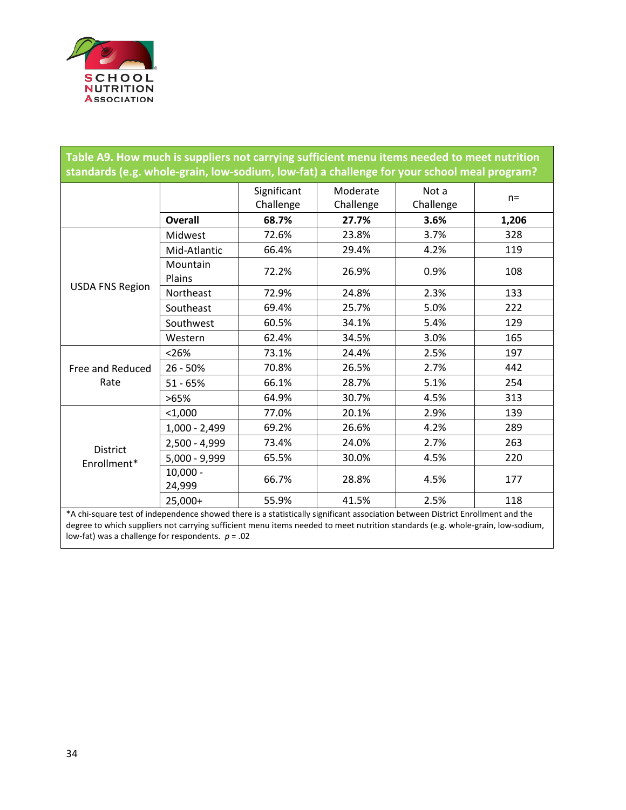

| Table A9. How much is suppliers not carrying sufficient menu items needed to meet nutrition<br>standards (e.g. whole-grain, low-sodium, low-fat) a challenge for your school meal program?                                                                       |                      |                          |                       |                    |       |  |
|------------------------------------------------------------------------------------------------------------------------------------------------------------------------------------------------------------------------------------------------------------------|----------------------|--------------------------|-----------------------|--------------------|-------|--|
|                                                                                                                                                                                                                                                                  |                      | Significant<br>Challenge | Moderate<br>Challenge | Not a<br>Challenge | $n =$ |  |
|                                                                                                                                                                                                                                                                  | <b>Overall</b>       | 68.7%                    | 27.7%                 | 3.6%               | 1,206 |  |
|                                                                                                                                                                                                                                                                  | Midwest              | 72.6%                    | 23.8%                 | 3.7%               | 328   |  |
|                                                                                                                                                                                                                                                                  | Mid-Atlantic         | 66.4%                    | 29.4%                 | 4.2%               | 119   |  |
|                                                                                                                                                                                                                                                                  | Mountain<br>Plains   | 72.2%                    | 26.9%                 | 0.9%               | 108   |  |
| <b>USDA FNS Region</b>                                                                                                                                                                                                                                           | Northeast            | 72.9%                    | 24.8%                 | 2.3%               | 133   |  |
|                                                                                                                                                                                                                                                                  | Southeast            | 69.4%                    | 25.7%                 | 5.0%               | 222   |  |
|                                                                                                                                                                                                                                                                  | Southwest            | 60.5%                    | 34.1%                 | 5.4%               | 129   |  |
|                                                                                                                                                                                                                                                                  | Western              | 62.4%                    | 34.5%                 | 3.0%               | 165   |  |
| Free and Reduced<br>Rate                                                                                                                                                                                                                                         | < 26%                | 73.1%                    | 24.4%                 | 2.5%               | 197   |  |
|                                                                                                                                                                                                                                                                  | 26 - 50%             | 70.8%                    | 26.5%                 | 2.7%               | 442   |  |
|                                                                                                                                                                                                                                                                  | $51 - 65%$           | 66.1%                    | 28.7%                 | 5.1%               | 254   |  |
|                                                                                                                                                                                                                                                                  | >65%                 | 64.9%                    | 30.7%                 | 4.5%               | 313   |  |
|                                                                                                                                                                                                                                                                  | $<$ 1,000            | 77.0%                    | 20.1%                 | 2.9%               | 139   |  |
|                                                                                                                                                                                                                                                                  | $1,000 - 2,499$      | 69.2%                    | 26.6%                 | 4.2%               | 289   |  |
| <b>District</b><br>Enrollment*                                                                                                                                                                                                                                   | $2,500 - 4,999$      | 73.4%                    | 24.0%                 | 2.7%               | 263   |  |
|                                                                                                                                                                                                                                                                  | 5,000 - 9,999        | 65.5%                    | 30.0%                 | 4.5%               | 220   |  |
|                                                                                                                                                                                                                                                                  | $10,000 -$<br>24,999 | 66.7%                    | 28.8%                 | 4.5%               | 177   |  |
|                                                                                                                                                                                                                                                                  | 25,000+              | 55.9%                    | 41.5%                 | 2.5%               | 118   |  |
| *A chi-square test of independence showed there is a statistically significant association between District Enrollment and the<br>degree to which suppliers not carrying sufficient menu items needed to meet nutrition standards (e.g. whole-grain, low-sodium, |                      |                          |                       |                    |       |  |

low-fat) was a challenge for respondents.  $p = .02$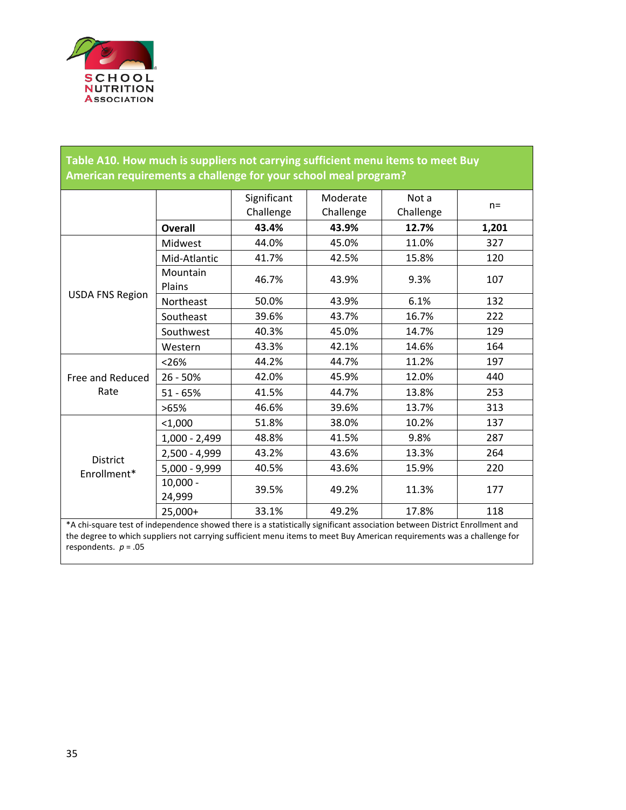

| Table A10. How much is suppliers not carrying sufficient menu items to meet Buy<br>American requirements a challenge for your school meal program? |                      |                          |                       |                    |       |  |
|----------------------------------------------------------------------------------------------------------------------------------------------------|----------------------|--------------------------|-----------------------|--------------------|-------|--|
|                                                                                                                                                    |                      | Significant<br>Challenge | Moderate<br>Challenge | Not a<br>Challenge | $n =$ |  |
|                                                                                                                                                    | <b>Overall</b>       | 43.4%                    | 43.9%                 | 12.7%              | 1,201 |  |
|                                                                                                                                                    | Midwest              | 44.0%                    | 45.0%                 | 11.0%              | 327   |  |
|                                                                                                                                                    | Mid-Atlantic         | 41.7%                    | 42.5%                 | 15.8%              | 120   |  |
|                                                                                                                                                    | Mountain<br>Plains   | 46.7%                    | 43.9%                 | 9.3%               | 107   |  |
| <b>USDA FNS Region</b>                                                                                                                             | Northeast            | 50.0%                    | 43.9%                 | 6.1%               | 132   |  |
|                                                                                                                                                    | Southeast            | 39.6%                    | 43.7%                 | 16.7%              | 222   |  |
|                                                                                                                                                    | Southwest            | 40.3%                    | 45.0%                 | 14.7%              | 129   |  |
|                                                                                                                                                    | Western              | 43.3%                    | 42.1%                 | 14.6%              | 164   |  |
| Free and Reduced<br>Rate                                                                                                                           | < 26%                | 44.2%                    | 44.7%                 | 11.2%              | 197   |  |
|                                                                                                                                                    | $26 - 50%$           | 42.0%                    | 45.9%                 | 12.0%              | 440   |  |
|                                                                                                                                                    | $51 - 65%$           | 41.5%                    | 44.7%                 | 13.8%              | 253   |  |
|                                                                                                                                                    | >65%                 | 46.6%                    | 39.6%                 | 13.7%              | 313   |  |
|                                                                                                                                                    | < 1,000              | 51.8%                    | 38.0%                 | 10.2%              | 137   |  |
| District<br>Enrollment*                                                                                                                            | $1,000 - 2,499$      | 48.8%                    | 41.5%                 | 9.8%               | 287   |  |
|                                                                                                                                                    | 2,500 - 4,999        | 43.2%                    | 43.6%                 | 13.3%              | 264   |  |
|                                                                                                                                                    | $5,000 - 9,999$      | 40.5%                    | 43.6%                 | 15.9%              | 220   |  |
|                                                                                                                                                    | $10,000 -$<br>24,999 | 39.5%                    | 49.2%                 | 11.3%              | 177   |  |
|                                                                                                                                                    | 25,000+              | 33.1%                    | 49.2%                 | 17.8%              | 118   |  |
| *A chi-square test of independence showed there is a statistically significant association between District Enrollment and                         |                      |                          |                       |                    |       |  |

\*A chi-square test of independence showed there is a statistically significant association between District Enrollment and the degree to which suppliers not carrying sufficient menu items to meet Buy American requirements was a challenge for respondents.  $p = .05$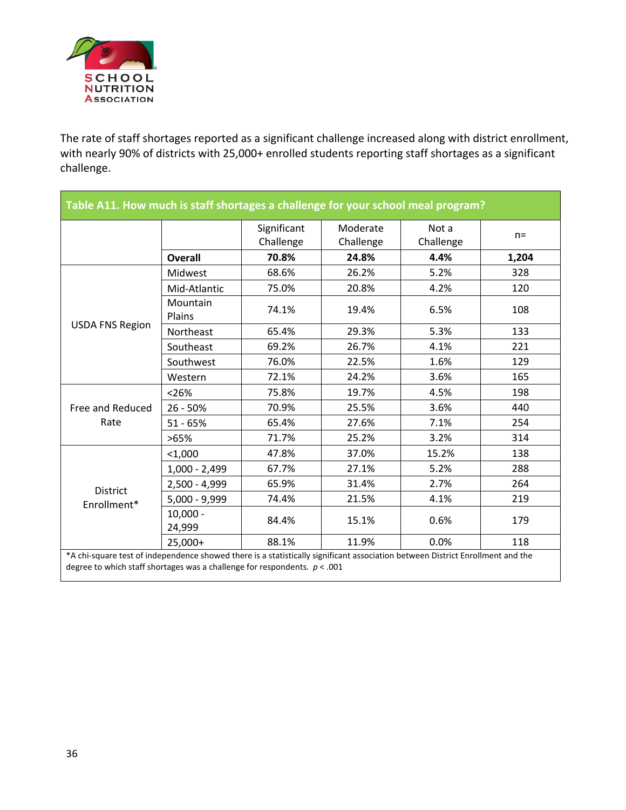

The rate of staff shortages reported as a significant challenge increased along with district enrollment, with nearly 90% of districts with 25,000+ enrolled students reporting staff shortages as a significant challenge.

|                          |                      | Significant<br>Challenge | Moderate<br>Challenge | Not a<br>Challenge | $n =$ |
|--------------------------|----------------------|--------------------------|-----------------------|--------------------|-------|
|                          | <b>Overall</b>       | 70.8%                    | 24.8%                 | 4.4%               | 1,204 |
|                          | Midwest              | 68.6%                    | 26.2%                 | 5.2%               | 328   |
|                          | Mid-Atlantic         | 75.0%                    | 20.8%                 | 4.2%               | 120   |
|                          | Mountain<br>Plains   | 74.1%                    | 19.4%                 | 6.5%               | 108   |
| <b>USDA FNS Region</b>   | Northeast            | 65.4%                    | 29.3%                 | 5.3%               | 133   |
|                          | Southeast            | 69.2%                    | 26.7%                 | 4.1%               | 221   |
|                          | Southwest            | 76.0%                    | 22.5%                 | 1.6%               | 129   |
|                          | Western              | 72.1%                    | 24.2%                 | 3.6%               | 165   |
| Free and Reduced<br>Rate | < 26%                | 75.8%                    | 19.7%                 | 4.5%               | 198   |
|                          | $26 - 50%$           | 70.9%                    | 25.5%                 | 3.6%               | 440   |
|                          | $51 - 65%$           | 65.4%                    | 27.6%                 | 7.1%               | 254   |
|                          | >65%                 | 71.7%                    | 25.2%                 | 3.2%               | 314   |
|                          | $<$ 1,000            | 47.8%                    | 37.0%                 | 15.2%              | 138   |
|                          | $1,000 - 2,499$      | 67.7%                    | 27.1%                 | 5.2%               | 288   |
| District                 | 2,500 - 4,999        | 65.9%                    | 31.4%                 | 2.7%               | 264   |
| Enrollment*              | $5,000 - 9,999$      | 74.4%                    | 21.5%                 | 4.1%               | 219   |
|                          | $10,000 -$<br>24,999 | 84.4%                    | 15.1%                 | 0.6%               | 179   |
|                          | $25,000+$            | 88.1%                    | 11.9%                 | 0.0%               | 118   |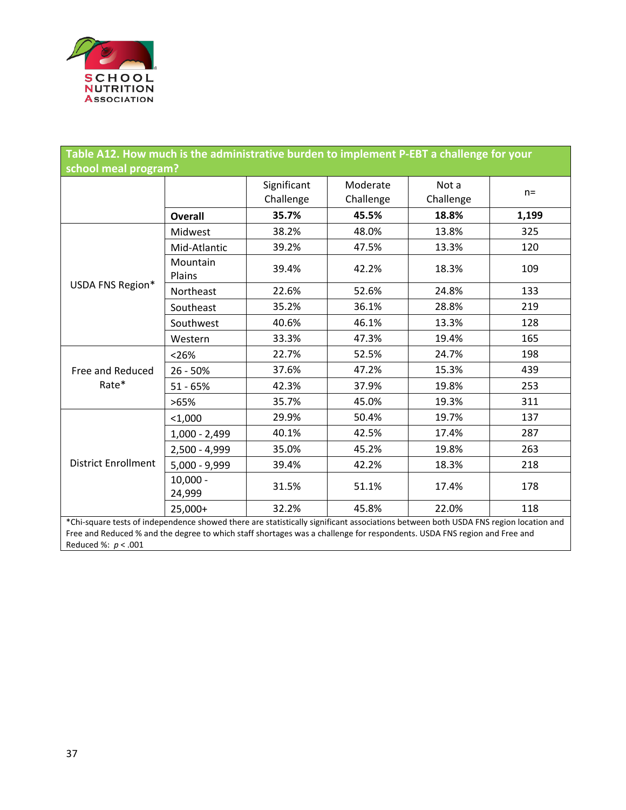

| Table A12. How much is the administrative burden to implement P-EBT a challenge for your                                            |                      |                          |                       |                    |       |  |
|-------------------------------------------------------------------------------------------------------------------------------------|----------------------|--------------------------|-----------------------|--------------------|-------|--|
| school meal program?                                                                                                                |                      |                          |                       |                    |       |  |
|                                                                                                                                     |                      | Significant<br>Challenge | Moderate<br>Challenge | Not a<br>Challenge | $n =$ |  |
|                                                                                                                                     | <b>Overall</b>       | 35.7%                    | 45.5%                 | 18.8%              | 1,199 |  |
|                                                                                                                                     | Midwest              | 38.2%                    | 48.0%                 | 13.8%              | 325   |  |
|                                                                                                                                     | Mid-Atlantic         | 39.2%                    | 47.5%                 | 13.3%              | 120   |  |
|                                                                                                                                     | Mountain<br>Plains   | 39.4%                    | 42.2%                 | 18.3%              | 109   |  |
| USDA FNS Region*                                                                                                                    | Northeast            | 22.6%                    | 52.6%                 | 24.8%              | 133   |  |
|                                                                                                                                     | Southeast            | 35.2%                    | 36.1%                 | 28.8%              | 219   |  |
|                                                                                                                                     | Southwest            | 40.6%                    | 46.1%                 | 13.3%              | 128   |  |
|                                                                                                                                     | Western              | 33.3%                    | 47.3%                 | 19.4%              | 165   |  |
| Free and Reduced<br>Rate*                                                                                                           | < 26%                | 22.7%                    | 52.5%                 | 24.7%              | 198   |  |
|                                                                                                                                     | $26 - 50%$           | 37.6%                    | 47.2%                 | 15.3%              | 439   |  |
|                                                                                                                                     | $51 - 65%$           | 42.3%                    | 37.9%                 | 19.8%              | 253   |  |
|                                                                                                                                     | >65%                 | 35.7%                    | 45.0%                 | 19.3%              | 311   |  |
| <b>District Enrollment</b>                                                                                                          | $1,000$              | 29.9%                    | 50.4%                 | 19.7%              | 137   |  |
|                                                                                                                                     | $1,000 - 2,499$      | 40.1%                    | 42.5%                 | 17.4%              | 287   |  |
|                                                                                                                                     | 2,500 - 4,999        | 35.0%                    | 45.2%                 | 19.8%              | 263   |  |
|                                                                                                                                     | 5,000 - 9,999        | 39.4%                    | 42.2%                 | 18.3%              | 218   |  |
|                                                                                                                                     | $10,000 -$<br>24,999 | 31.5%                    | 51.1%                 | 17.4%              | 178   |  |
|                                                                                                                                     | 25,000+              | 32.2%                    | 45.8%                 | 22.0%              | 118   |  |
| *Chi-square tests of independence showed there are statistically significant associations between both USDA FNS region location and |                      |                          |                       |                    |       |  |

Free and Reduced % and the degree to which staff shortages was a challenge for respondents. USDA FNS region and Free and Reduced %: *p* < .001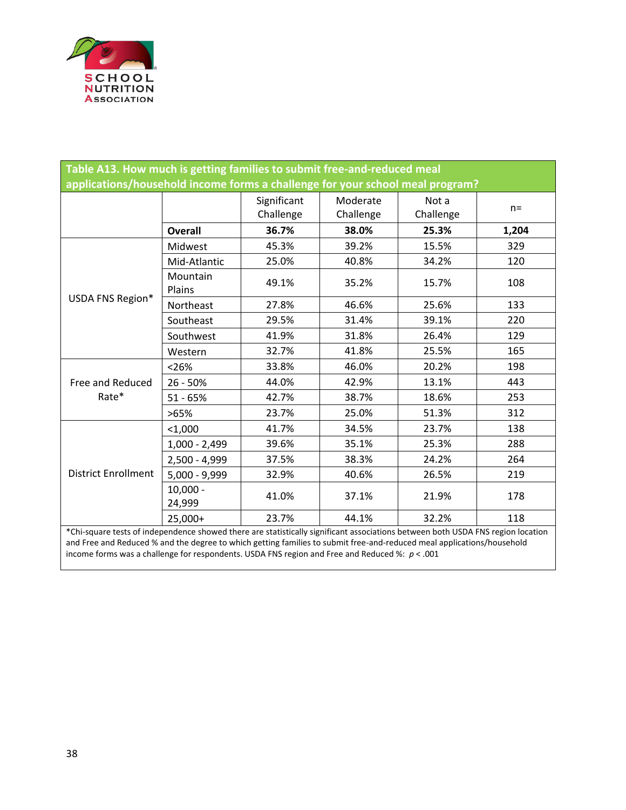

| Table A13. How much is getting families to submit free-and-reduced meal<br>applications/household income forms a challenge for your school meal program? |                      |                          |                       |                    |       |  |
|----------------------------------------------------------------------------------------------------------------------------------------------------------|----------------------|--------------------------|-----------------------|--------------------|-------|--|
|                                                                                                                                                          |                      | Significant<br>Challenge | Moderate<br>Challenge | Not a<br>Challenge | $n =$ |  |
|                                                                                                                                                          | <b>Overall</b>       | 36.7%                    | 38.0%                 | 25.3%              | 1,204 |  |
|                                                                                                                                                          | Midwest              | 45.3%                    | 39.2%                 | 15.5%              | 329   |  |
|                                                                                                                                                          | Mid-Atlantic         | 25.0%                    | 40.8%                 | 34.2%              | 120   |  |
|                                                                                                                                                          | Mountain<br>Plains   | 49.1%                    | 35.2%                 | 15.7%              | 108   |  |
| USDA FNS Region*                                                                                                                                         | Northeast            | 27.8%                    | 46.6%                 | 25.6%              | 133   |  |
|                                                                                                                                                          | Southeast            | 29.5%                    | 31.4%                 | 39.1%              | 220   |  |
|                                                                                                                                                          | Southwest            | 41.9%                    | 31.8%                 | 26.4%              | 129   |  |
|                                                                                                                                                          | Western              | 32.7%                    | 41.8%                 | 25.5%              | 165   |  |
|                                                                                                                                                          | < 26%                | 33.8%                    | 46.0%                 | 20.2%              | 198   |  |
| Free and Reduced                                                                                                                                         | $26 - 50%$           | 44.0%                    | 42.9%                 | 13.1%              | 443   |  |
| Rate*                                                                                                                                                    | $51 - 65%$           | 42.7%                    | 38.7%                 | 18.6%              | 253   |  |
|                                                                                                                                                          | >65%                 | 23.7%                    | 25.0%                 | 51.3%              | 312   |  |
|                                                                                                                                                          | $1,000$              | 41.7%                    | 34.5%                 | 23.7%              | 138   |  |
| <b>District Enrollment</b>                                                                                                                               | $1,000 - 2,499$      | 39.6%                    | 35.1%                 | 25.3%              | 288   |  |
|                                                                                                                                                          | 2,500 - 4,999        | 37.5%                    | 38.3%                 | 24.2%              | 264   |  |
|                                                                                                                                                          | $5,000 - 9,999$      | 32.9%                    | 40.6%                 | 26.5%              | 219   |  |
|                                                                                                                                                          | $10,000 -$<br>24,999 | 41.0%                    | 37.1%                 | 21.9%              | 178   |  |
|                                                                                                                                                          | 25,000+              | 23.7%                    | 44.1%                 | 32.2%              | 118   |  |
| *Chi-square tests of independence showed there are statistically significant associations between both USDA FNS region location                          |                      |                          |                       |                    |       |  |

and Free and Reduced % and the degree to which getting families to submit free-and-reduced meal applications/household income forms was a challenge for respondents. USDA FNS region and Free and Reduced %: *p* < .001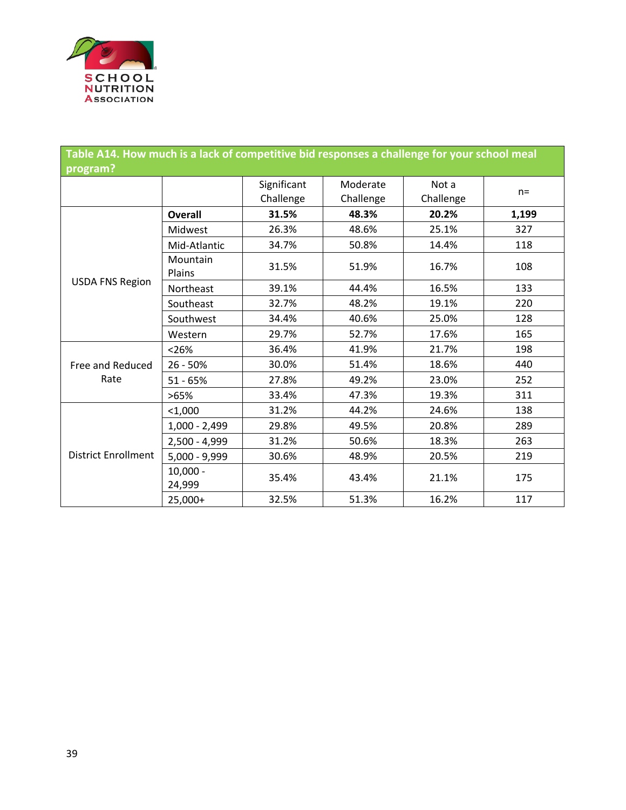

| Table A14. How much is a lack of competitive bid responses a challenge for your school meal |                      |                          |                       |                    |       |  |
|---------------------------------------------------------------------------------------------|----------------------|--------------------------|-----------------------|--------------------|-------|--|
| program?                                                                                    |                      |                          |                       |                    |       |  |
|                                                                                             |                      | Significant<br>Challenge | Moderate<br>Challenge | Not a<br>Challenge | $n =$ |  |
|                                                                                             | <b>Overall</b>       | 31.5%                    | 48.3%                 | 20.2%              | 1,199 |  |
|                                                                                             | Midwest              | 26.3%                    | 48.6%                 | 25.1%              | 327   |  |
|                                                                                             | Mid-Atlantic         | 34.7%                    | 50.8%                 | 14.4%              | 118   |  |
|                                                                                             | Mountain<br>Plains   | 31.5%                    | 51.9%                 | 16.7%              | 108   |  |
| <b>USDA FNS Region</b>                                                                      | Northeast            | 39.1%                    | 44.4%                 | 16.5%              | 133   |  |
|                                                                                             | Southeast            | 32.7%                    | 48.2%                 | 19.1%              | 220   |  |
|                                                                                             | Southwest            | 34.4%                    | 40.6%                 | 25.0%              | 128   |  |
|                                                                                             | Western              | 29.7%                    | 52.7%                 | 17.6%              | 165   |  |
| Free and Reduced<br>Rate                                                                    | < 26%                | 36.4%                    | 41.9%                 | 21.7%              | 198   |  |
|                                                                                             | 26 - 50%             | 30.0%                    | 51.4%                 | 18.6%              | 440   |  |
|                                                                                             | $51 - 65%$           | 27.8%                    | 49.2%                 | 23.0%              | 252   |  |
|                                                                                             | >65%                 | 33.4%                    | 47.3%                 | 19.3%              | 311   |  |
| <b>District Enrollment</b>                                                                  | $<$ 1,000            | 31.2%                    | 44.2%                 | 24.6%              | 138   |  |
|                                                                                             | $1,000 - 2,499$      | 29.8%                    | 49.5%                 | 20.8%              | 289   |  |
|                                                                                             | 2,500 - 4,999        | 31.2%                    | 50.6%                 | 18.3%              | 263   |  |
|                                                                                             | $5,000 - 9,999$      | 30.6%                    | 48.9%                 | 20.5%              | 219   |  |
|                                                                                             | $10,000 -$<br>24,999 | 35.4%                    | 43.4%                 | 21.1%              | 175   |  |
|                                                                                             | 25,000+              | 32.5%                    | 51.3%                 | 16.2%              | 117   |  |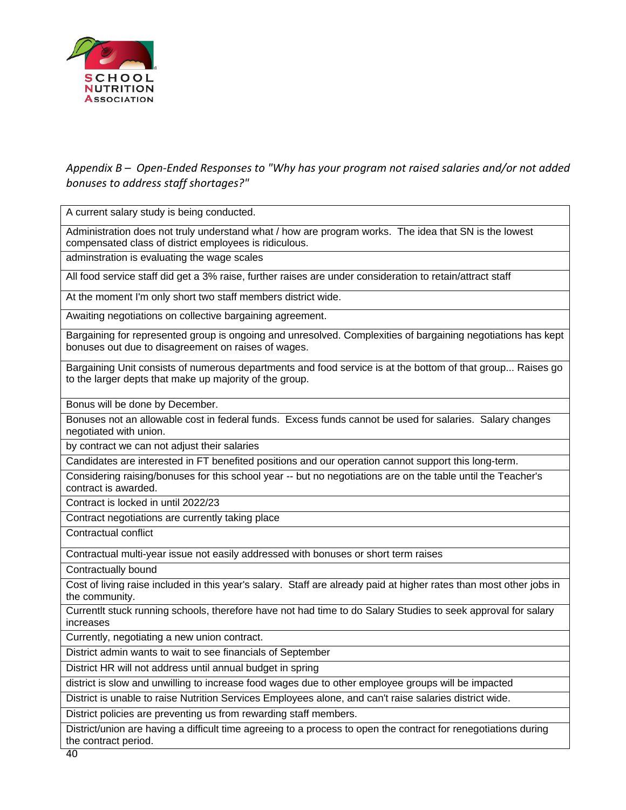

#### *Appendix B – Open-Ended Responses to "Why has your program not raised salaries and/or not added bonuses to address staff shortages?"*

A current salary study is being conducted.

Administration does not truly understand what / how are program works. The idea that SN is the lowest compensated class of district employees is ridiculous.

adminstration is evaluating the wage scales

All food service staff did get a 3% raise, further raises are under consideration to retain/attract staff

At the moment I'm only short two staff members district wide.

Awaiting negotiations on collective bargaining agreement.

Bargaining for represented group is ongoing and unresolved. Complexities of bargaining negotiations has kept bonuses out due to disagreement on raises of wages.

Bargaining Unit consists of numerous departments and food service is at the bottom of that group... Raises go to the larger depts that make up majority of the group.

Bonus will be done by December.

Bonuses not an allowable cost in federal funds. Excess funds cannot be used for salaries. Salary changes negotiated with union.

by contract we can not adjust their salaries

Candidates are interested in FT benefited positions and our operation cannot support this long-term.

Considering raising/bonuses for this school year -- but no negotiations are on the table until the Teacher's contract is awarded.

Contract is locked in until 2022/23

Contract negotiations are currently taking place

Contractual conflict

Contractual multi-year issue not easily addressed with bonuses or short term raises

Contractually bound

Cost of living raise included in this year's salary. Staff are already paid at higher rates than most other jobs in the community.

Currentlt stuck running schools, therefore have not had time to do Salary Studies to seek approval for salary increases

Currently, negotiating a new union contract.

District admin wants to wait to see financials of September

District HR will not address until annual budget in spring

district is slow and unwilling to increase food wages due to other employee groups will be impacted

District is unable to raise Nutrition Services Employees alone, and can't raise salaries district wide.

District policies are preventing us from rewarding staff members.

District/union are having a difficult time agreeing to a process to open the contract for renegotiations during the contract period.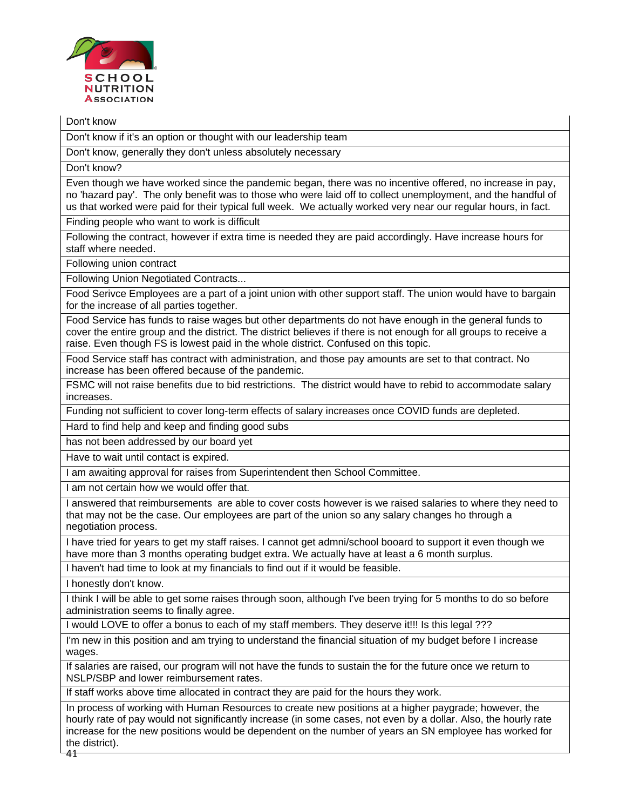

Don't know

Don't know if it's an option or thought with our leadership team

Don't know, generally they don't unless absolutely necessary

Don't know?

Even though we have worked since the pandemic began, there was no incentive offered, no increase in pay, no 'hazard pay'. The only benefit was to those who were laid off to collect unemployment, and the handful of us that worked were paid for their typical full week. We actually worked very near our regular hours, in fact.

Finding people who want to work is difficult

Following the contract, however if extra time is needed they are paid accordingly. Have increase hours for staff where needed.

Following union contract

Following Union Negotiated Contracts...

Food Serivce Employees are a part of a joint union with other support staff. The union would have to bargain for the increase of all parties together.

Food Service has funds to raise wages but other departments do not have enough in the general funds to cover the entire group and the district. The district believes if there is not enough for all groups to receive a raise. Even though FS is lowest paid in the whole district. Confused on this topic.

Food Service staff has contract with administration, and those pay amounts are set to that contract. No increase has been offered because of the pandemic.

FSMC will not raise benefits due to bid restrictions. The district would have to rebid to accommodate salary increases.

Funding not sufficient to cover long-term effects of salary increases once COVID funds are depleted.

Hard to find help and keep and finding good subs

has not been addressed by our board yet

Have to wait until contact is expired.

I am awaiting approval for raises from Superintendent then School Committee.

I am not certain how we would offer that.

I answered that reimbursements are able to cover costs however is we raised salaries to where they need to that may not be the case. Our employees are part of the union so any salary changes ho through a negotiation process.

I have tried for years to get my staff raises. I cannot get admni/school booard to support it even though we have more than 3 months operating budget extra. We actually have at least a 6 month surplus.

I haven't had time to look at my financials to find out if it would be feasible.

I honestly don't know.

I think I will be able to get some raises through soon, although I've been trying for 5 months to do so before administration seems to finally agree.

I would LOVE to offer a bonus to each of my staff members. They deserve it!!! Is this legal ???

I'm new in this position and am trying to understand the financial situation of my budget before I increase wages.

If salaries are raised, our program will not have the funds to sustain the for the future once we return to NSLP/SBP and lower reimbursement rates.

If staff works above time allocated in contract they are paid for the hours they work.

41 In process of working with Human Resources to create new positions at a higher paygrade; however, the hourly rate of pay would not significantly increase (in some cases, not even by a dollar. Also, the hourly rate increase for the new positions would be dependent on the number of years an SN employee has worked for the district).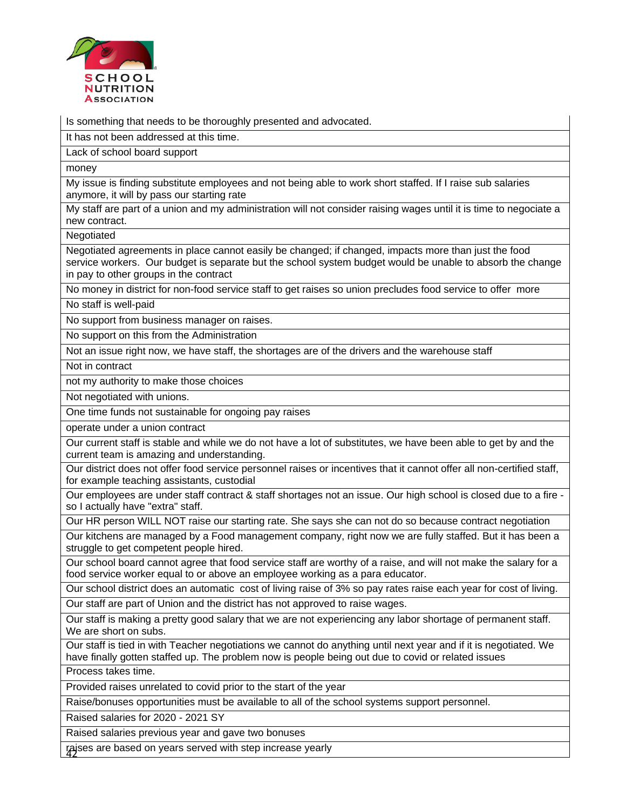

Is something that needs to be thoroughly presented and advocated.

It has not been addressed at this time.

Lack of school board support

money

My issue is finding substitute employees and not being able to work short staffed. If I raise sub salaries anymore, it will by pass our starting rate

My staff are part of a union and my administration will not consider raising wages until it is time to negociate a new contract.

Negotiated

Negotiated agreements in place cannot easily be changed; if changed, impacts more than just the food service workers. Our budget is separate but the school system budget would be unable to absorb the change in pay to other groups in the contract

No money in district for non-food service staff to get raises so union precludes food service to offer more

No staff is well-paid

No support from business manager on raises.

No support on this from the Administration

Not an issue right now, we have staff, the shortages are of the drivers and the warehouse staff

Not in contract

not my authority to make those choices

Not negotiated with unions.

One time funds not sustainable for ongoing pay raises

operate under a union contract

Our current staff is stable and while we do not have a lot of substitutes, we have been able to get by and the current team is amazing and understanding.

Our district does not offer food service personnel raises or incentives that it cannot offer all non-certified staff, for example teaching assistants, custodial

Our employees are under staff contract & staff shortages not an issue. Our high school is closed due to a fire so I actually have "extra" staff.

Our HR person WILL NOT raise our starting rate. She says she can not do so because contract negotiation

Our kitchens are managed by a Food management company, right now we are fully staffed. But it has been a struggle to get competent people hired.

Our school board cannot agree that food service staff are worthy of a raise, and will not make the salary for a food service worker equal to or above an employee working as a para educator.

Our school district does an automatic cost of living raise of 3% so pay rates raise each year for cost of living.

Our staff are part of Union and the district has not approved to raise wages.

Our staff is making a pretty good salary that we are not experiencing any labor shortage of permanent staff. We are short on subs.

Our staff is tied in with Teacher negotiations we cannot do anything until next year and if it is negotiated. We have finally gotten staffed up. The problem now is people being out due to covid or related issues

Process takes time.

Provided raises unrelated to covid prior to the start of the year

Raise/bonuses opportunities must be available to all of the school systems support personnel.

Raised salaries for 2020 - 2021 SY

Raised salaries previous year and gave two bonuses

42 raises are based on years served with step increase yearly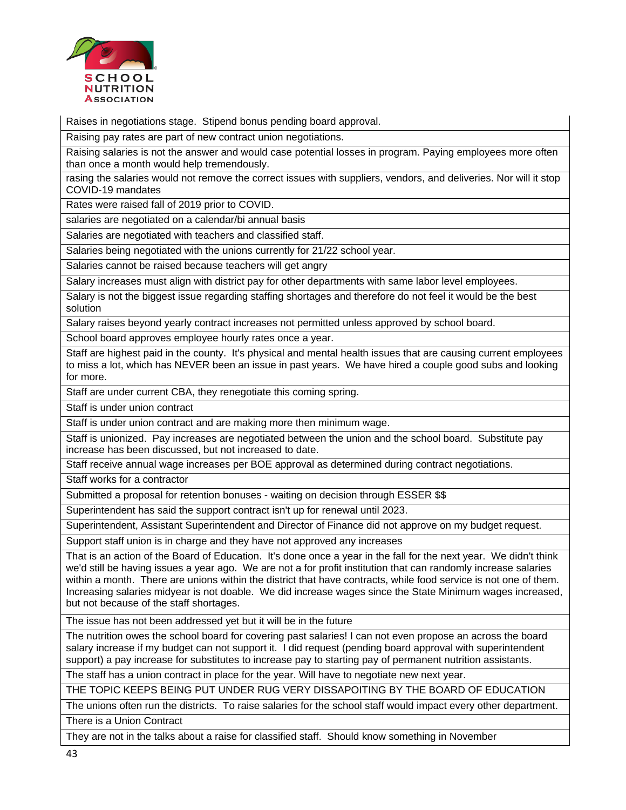

Raises in negotiations stage. Stipend bonus pending board approval.

Raising pay rates are part of new contract union negotiations.

Raising salaries is not the answer and would case potential losses in program. Paying employees more often than once a month would help tremendously.

rasing the salaries would not remove the correct issues with suppliers, vendors, and deliveries. Nor will it stop COVID-19 mandates

Rates were raised fall of 2019 prior to COVID.

salaries are negotiated on a calendar/bi annual basis

Salaries are negotiated with teachers and classified staff.

Salaries being negotiated with the unions currently for 21/22 school year.

Salaries cannot be raised because teachers will get angry

Salary increases must align with district pay for other departments with same labor level employees.

Salary is not the biggest issue regarding staffing shortages and therefore do not feel it would be the best solution

Salary raises beyond yearly contract increases not permitted unless approved by school board.

School board approves employee hourly rates once a year.

Staff are highest paid in the county. It's physical and mental health issues that are causing current employees to miss a lot, which has NEVER been an issue in past years. We have hired a couple good subs and looking for more.

Staff are under current CBA, they renegotiate this coming spring.

Staff is under union contract

Staff is under union contract and are making more then minimum wage.

Staff is unionized. Pay increases are negotiated between the union and the school board. Substitute pay increase has been discussed, but not increased to date.

Staff receive annual wage increases per BOE approval as determined during contract negotiations.

Staff works for a contractor

Submitted a proposal for retention bonuses - waiting on decision through ESSER \$\$

Superintendent has said the support contract isn't up for renewal until 2023.

Superintendent, Assistant Superintendent and Director of Finance did not approve on my budget request.

Support staff union is in charge and they have not approved any increases

That is an action of the Board of Education. It's done once a year in the fall for the next year. We didn't think we'd still be having issues a year ago. We are not a for profit institution that can randomly increase salaries within a month. There are unions within the district that have contracts, while food service is not one of them. Increasing salaries midyear is not doable. We did increase wages since the State Minimum wages increased, but not because of the staff shortages.

The issue has not been addressed yet but it will be in the future

The nutrition owes the school board for covering past salaries! I can not even propose an across the board salary increase if my budget can not support it. I did request (pending board approval with superintendent support) a pay increase for substitutes to increase pay to starting pay of permanent nutrition assistants.

The staff has a union contract in place for the year. Will have to negotiate new next year.

THE TOPIC KEEPS BEING PUT UNDER RUG VERY DISSAPOITING BY THE BOARD OF EDUCATION

The unions often run the districts. To raise salaries for the school staff would impact every other department. There is a Union Contract

They are not in the talks about a raise for classified staff. Should know something in November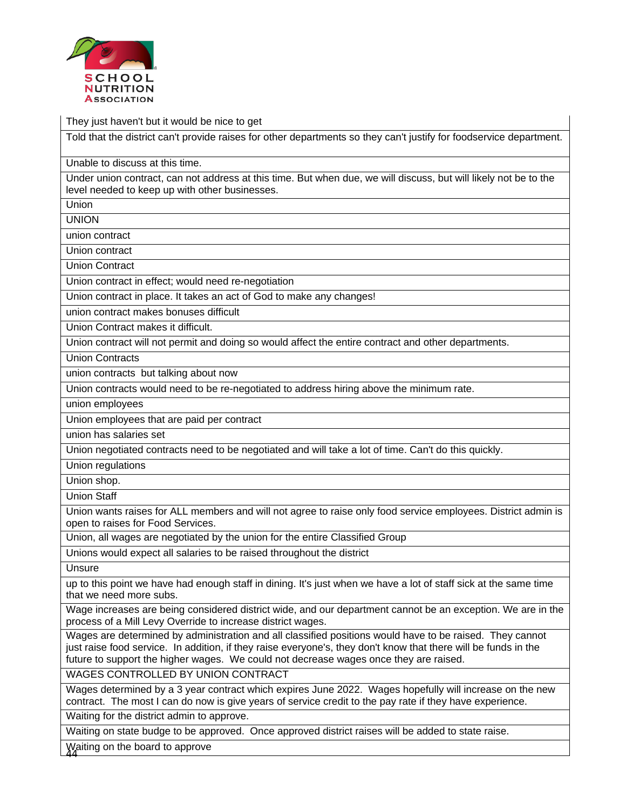

They just haven't but it would be nice to get

Told that the district can't provide raises for other departments so they can't justify for foodservice department.

Unable to discuss at this time.

Under union contract, can not address at this time. But when due, we will discuss, but will likely not be to the level needed to keep up with other businesses.

Union

UNION

union contract

Union contract

Union Contract

Union contract in effect; would need re-negotiation

Union contract in place. It takes an act of God to make any changes!

union contract makes bonuses difficult

Union Contract makes it difficult.

Union contract will not permit and doing so would affect the entire contract and other departments.

Union Contracts

union contracts but talking about now

Union contracts would need to be re-negotiated to address hiring above the minimum rate.

union employees

Union employees that are paid per contract

union has salaries set

Union negotiated contracts need to be negotiated and will take a lot of time. Can't do this quickly.

Union regulations

Union shop.

Union Staff

Union wants raises for ALL members and will not agree to raise only food service employees. District admin is open to raises for Food Services.

Union, all wages are negotiated by the union for the entire Classified Group

Unions would expect all salaries to be raised throughout the district

**Unsure** 

up to this point we have had enough staff in dining. It's just when we have a lot of staff sick at the same time that we need more subs.

Wage increases are being considered district wide, and our department cannot be an exception. We are in the process of a Mill Levy Override to increase district wages.

Wages are determined by administration and all classified positions would have to be raised. They cannot just raise food service. In addition, if they raise everyone's, they don't know that there will be funds in the future to support the higher wages. We could not decrease wages once they are raised.

WAGES CONTROLLED BY UNION CONTRACT

Wages determined by a 3 year contract which expires June 2022. Wages hopefully will increase on the new contract. The most I can do now is give years of service credit to the pay rate if they have experience.

Waiting for the district admin to approve.

Waiting on state budge to be approved. Once approved district raises will be added to state raise.

44 Waiting on the board to approve